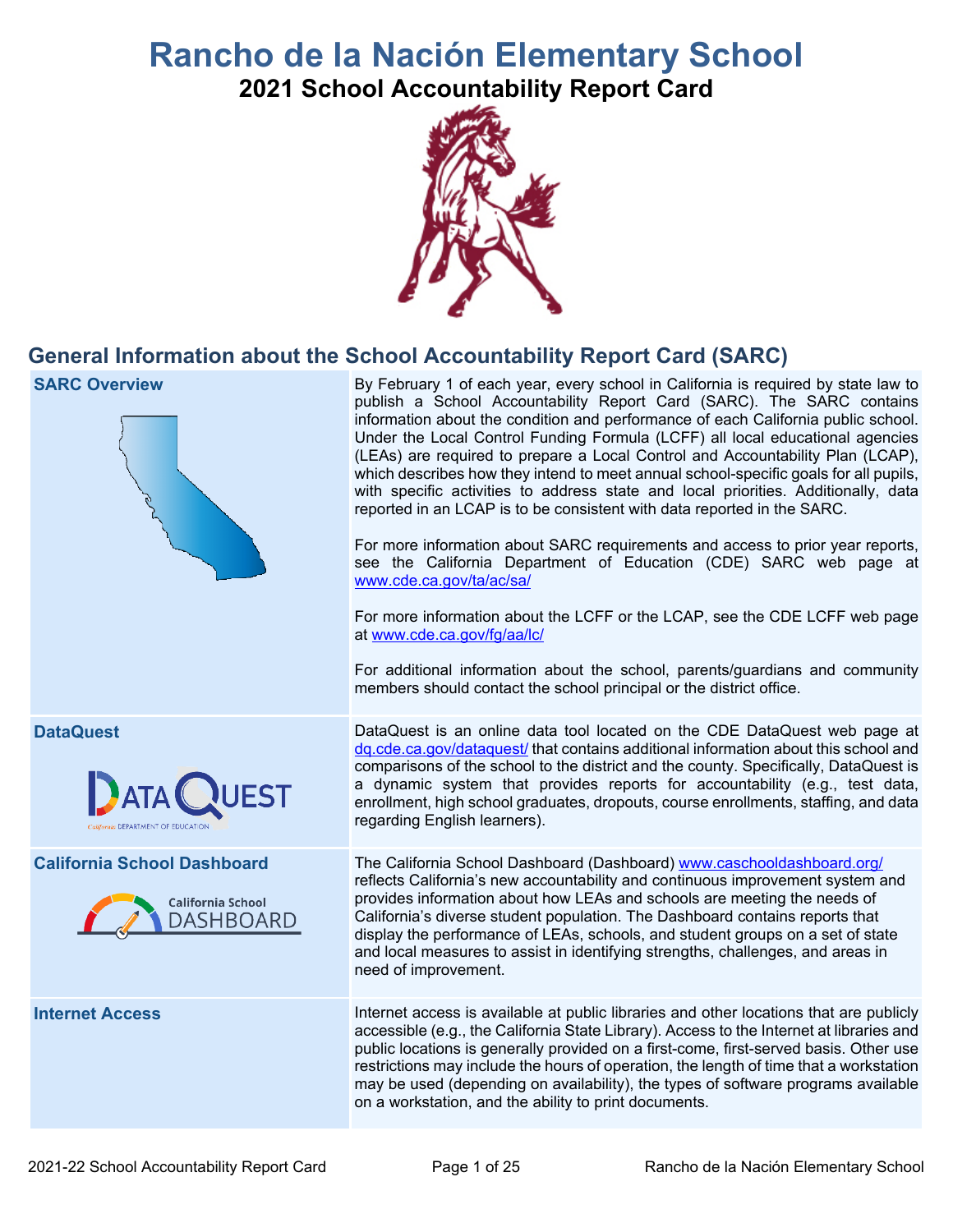# **Rancho de la Nación Elementary School**

**2021 School Accountability Report Card** 



## **General Information about the School Accountability Report Card (SARC)**

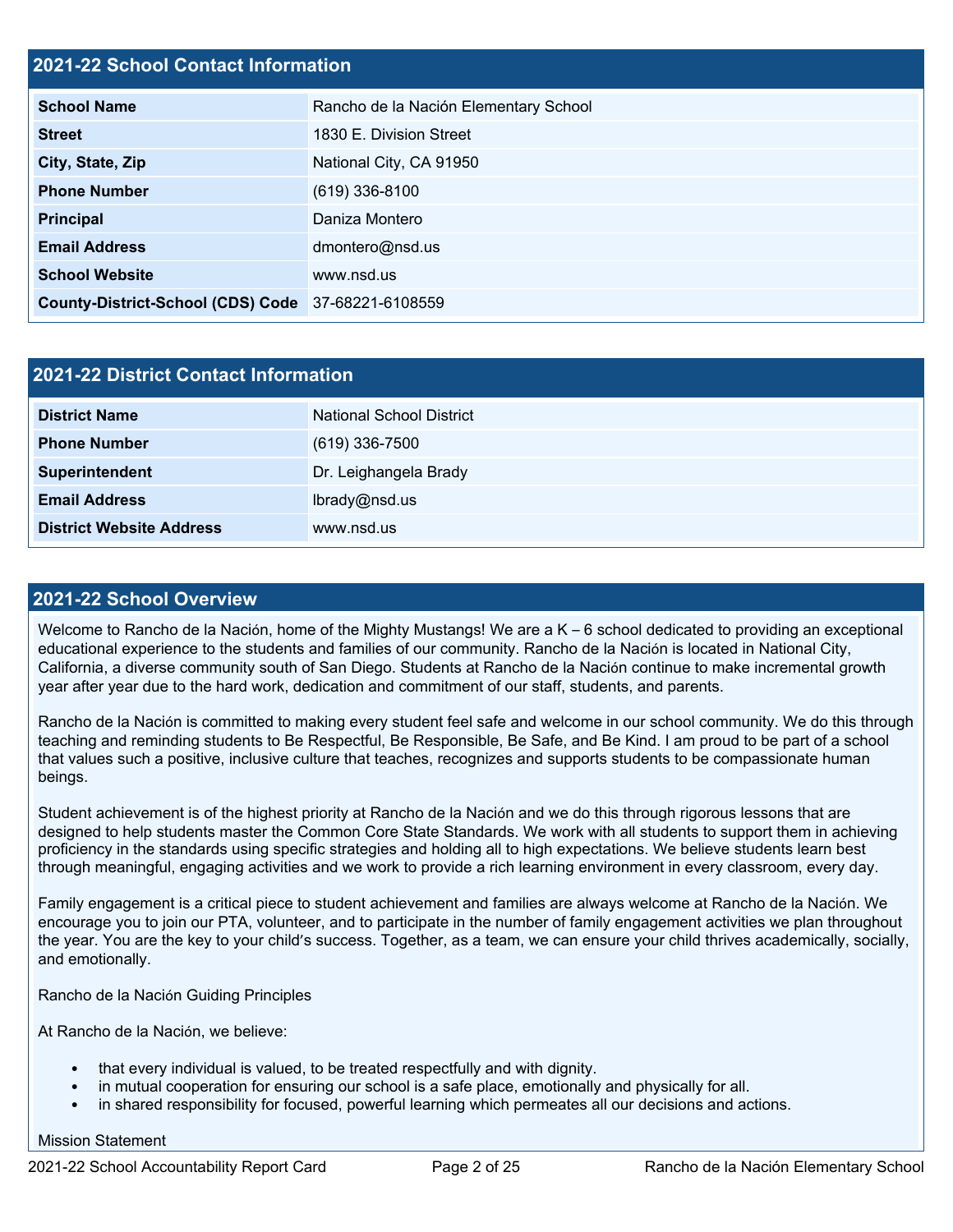#### **2021-22 School Contact Information**

| <b>School Name</b>                                 | Rancho de la Nación Elementary School |  |  |  |
|----------------------------------------------------|---------------------------------------|--|--|--|
| <b>Street</b>                                      | 1830 E. Division Street               |  |  |  |
| City, State, Zip                                   | National City, CA 91950               |  |  |  |
| <b>Phone Number</b>                                | $(619)$ 336-8100                      |  |  |  |
| Principal                                          | Daniza Montero                        |  |  |  |
| <b>Email Address</b>                               | dmontero@nsd.us                       |  |  |  |
| <b>School Website</b>                              | www.nsd.us                            |  |  |  |
| County-District-School (CDS) Code 37-68221-6108559 |                                       |  |  |  |

| <b>2021-22 District Contact Information</b> |                          |  |  |  |
|---------------------------------------------|--------------------------|--|--|--|
| <b>District Name</b>                        | National School District |  |  |  |
| <b>Phone Number</b>                         | $(619)$ 336-7500         |  |  |  |
| Superintendent                              | Dr. Leighangela Brady    |  |  |  |
| <b>Email Address</b>                        | lbrady@nsd.us            |  |  |  |
| <b>District Website Address</b>             | www.nsd.us               |  |  |  |

### **2021-22 School Overview**

 year after year due to the hard work, dedication and commitment of our staff, students, and parents. Welcome to Rancho de la Nación, home of the Mighty Mustangs! We are a K – 6 school dedicated to providing an exceptional educational experience to the students and families of our community. Rancho de la Nación is located in National City, California, a diverse community south of San Diego. Students at Rancho de la Nación continue to make incremental growth

Rancho de la Nación is committed to making every student feel safe and welcome in our school community. We do this through teaching and reminding students to Be Respectful, Be Responsible, Be Safe, and Be Kind. I am proud to be part of a school that values such a positive, inclusive culture that teaches, recognizes and supports students to be compassionate human beings.

 through meaningful, engaging activities and we work to provide a rich learning environment in every classroom, every day. Student achievement is of the highest priority at Rancho de la Nación and we do this through rigorous lessons that are designed to help students master the Common Core State Standards. We work with all students to support them in achieving proficiency in the standards using specific strategies and holding all to high expectations. We believe students learn best

Family engagement is a critical piece to student achievement and families are always welcome at Rancho de la Nación. We encourage you to join our PTA, volunteer, and to participate in the number of family engagement activities we plan throughout the year. You are the key to your child's success. Together, as a team, we can ensure your child thrives academically, socially, and emotionally.

Rancho de la Nación Guiding Principles

At Rancho de la Nación, we believe:

- that every individual is valued, to be treated respectfully and with dignity.
- in mutual cooperation for ensuring our school is a safe place, emotionally and physically for all.
- in shared responsibility for focused, powerful learning which permeates all our decisions and actions.

Mission Statement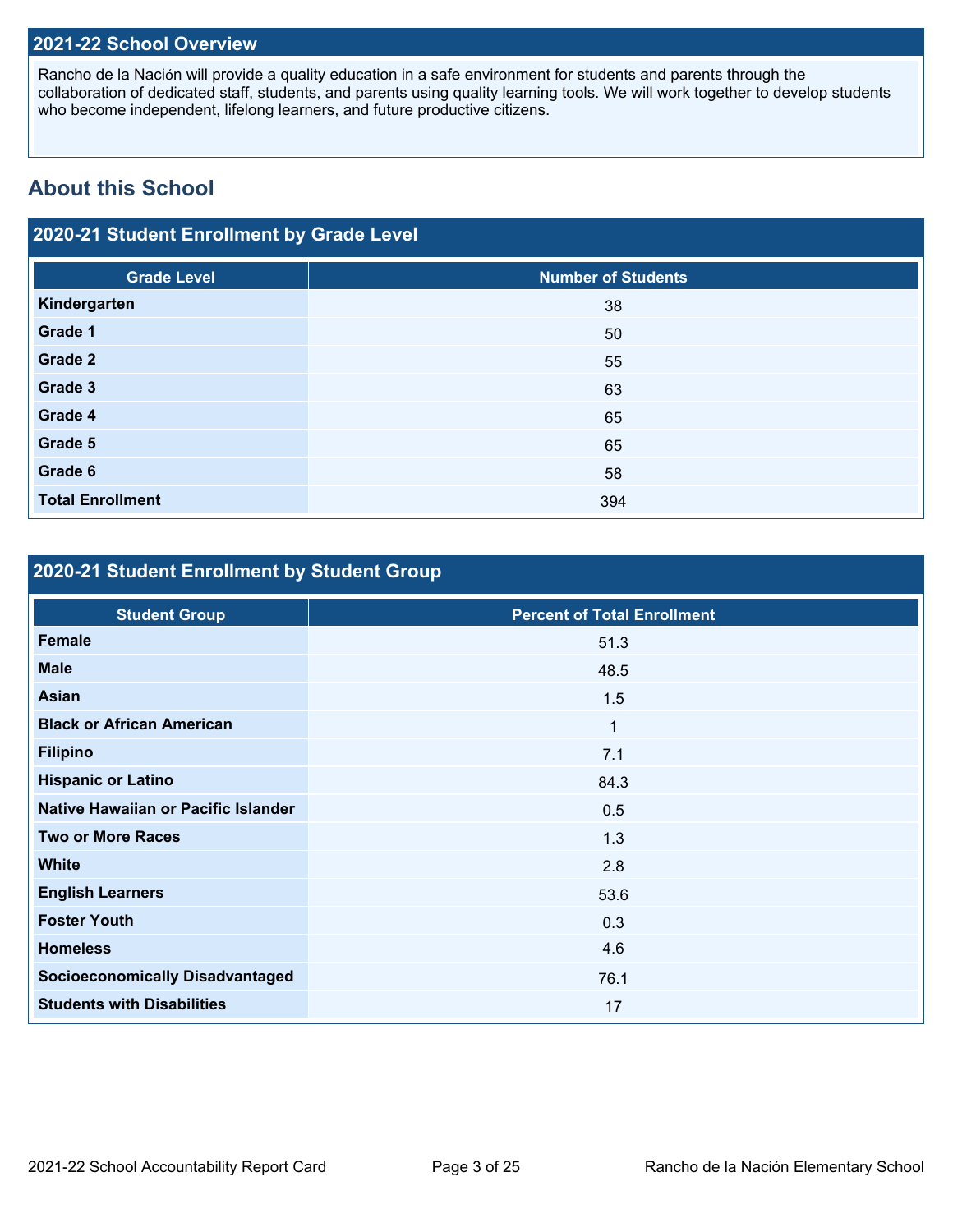#### **2021-22 School Overview**

 who become independent, lifelong learners, and future productive citizens. Rancho de la Nación will provide a quality education in a safe environment for students and parents through the collaboration of dedicated staff, students, and parents using quality learning tools. We will work together to develop students

## **About this School**

## **2020-21 Student Enrollment by Grade Level**

| <b>Grade Level</b>      | <b>Number of Students</b> |
|-------------------------|---------------------------|
| Kindergarten            | 38                        |
| Grade 1                 | 50                        |
| <b>Grade 2</b>          | 55                        |
| Grade 3                 | 63                        |
| Grade 4                 | 65                        |
| Grade 5                 | 65                        |
| Grade 6                 | 58                        |
| <b>Total Enrollment</b> | 394                       |

## **2020-21 Student Enrollment by Student Group**

| <b>Student Group</b>                   | <b>Percent of Total Enrollment</b> |
|----------------------------------------|------------------------------------|
| <b>Female</b>                          | 51.3                               |
| <b>Male</b>                            | 48.5                               |
| <b>Asian</b>                           | 1.5                                |
| <b>Black or African American</b>       | 1                                  |
| <b>Filipino</b>                        | 7.1                                |
| <b>Hispanic or Latino</b>              | 84.3                               |
| Native Hawaiian or Pacific Islander    | 0.5                                |
| <b>Two or More Races</b>               | 1.3                                |
| <b>White</b>                           | 2.8                                |
| <b>English Learners</b>                | 53.6                               |
| <b>Foster Youth</b>                    | 0.3                                |
| <b>Homeless</b>                        | 4.6                                |
| <b>Socioeconomically Disadvantaged</b> | 76.1                               |
| <b>Students with Disabilities</b>      | 17                                 |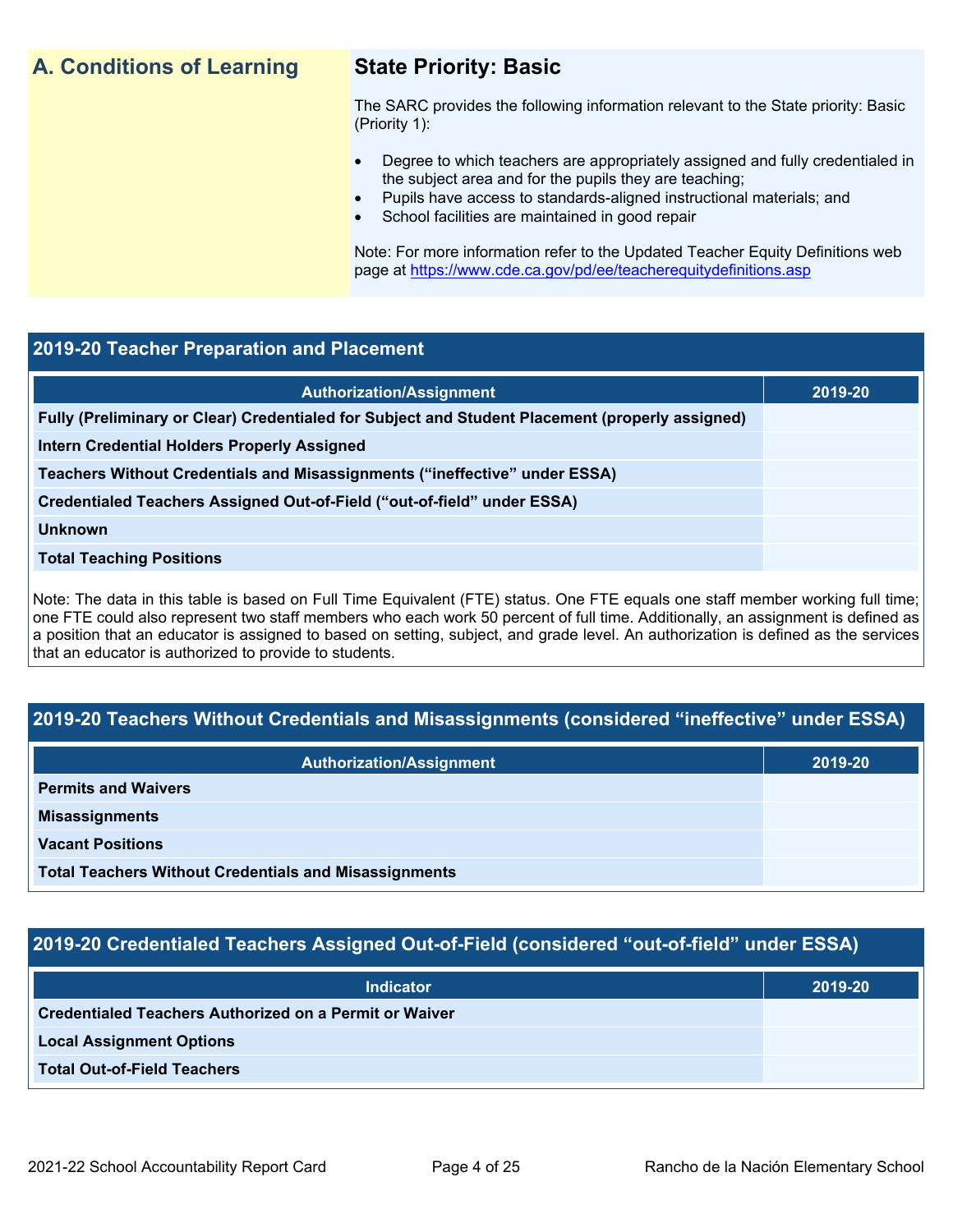## **A. Conditions of Learning State Priority: Basic**

- Degree to which teachers are appropriately assigned and fully credentialed in the subject area and for the pupils they are teaching;
	- Pupils have access to standards-aligned instructional materials; and
- School facilities are maintained in good repair

#### **2019-20 Teacher Preparation and Placement**

| <b>A. Conditions of Learning</b>                                                                | <b>State Priority: Basic</b><br>The SARC provides the following information relevant to the State priority: Basic<br>(Priority 1):<br>Degree to which teachers are appropriately assigned and fully credentialed in<br>$\bullet$<br>the subject area and for the pupils they are teaching;<br>Pupils have access to standards-aligned instructional materials; and<br>$\bullet$<br>School facilities are maintained in good repair<br>Note: For more information refer to the Updated Teacher Equity Definitions web<br>page at https://www.cde.ca.gov/pd/ee/teacherequitydefinitions.asp |         |  |  |  |
|-------------------------------------------------------------------------------------------------|-------------------------------------------------------------------------------------------------------------------------------------------------------------------------------------------------------------------------------------------------------------------------------------------------------------------------------------------------------------------------------------------------------------------------------------------------------------------------------------------------------------------------------------------------------------------------------------------|---------|--|--|--|
|                                                                                                 |                                                                                                                                                                                                                                                                                                                                                                                                                                                                                                                                                                                           |         |  |  |  |
| 2019-20 Teacher Preparation and Placement                                                       |                                                                                                                                                                                                                                                                                                                                                                                                                                                                                                                                                                                           |         |  |  |  |
|                                                                                                 | <b>Authorization/Assignment</b>                                                                                                                                                                                                                                                                                                                                                                                                                                                                                                                                                           | 2019-20 |  |  |  |
| Fully (Preliminary or Clear) Credentialed for Subject and Student Placement (properly assigned) |                                                                                                                                                                                                                                                                                                                                                                                                                                                                                                                                                                                           |         |  |  |  |
| <b>Intern Credential Holders Properly Assigned</b>                                              |                                                                                                                                                                                                                                                                                                                                                                                                                                                                                                                                                                                           |         |  |  |  |
| Teachers Without Credentials and Misassignments ("ineffective" under ESSA)                      |                                                                                                                                                                                                                                                                                                                                                                                                                                                                                                                                                                                           |         |  |  |  |
| Credentialed Teachers Assigned Out-of-Field ("out-of-field" under ESSA)                         |                                                                                                                                                                                                                                                                                                                                                                                                                                                                                                                                                                                           |         |  |  |  |
| <b>Unknown</b>                                                                                  |                                                                                                                                                                                                                                                                                                                                                                                                                                                                                                                                                                                           |         |  |  |  |
| <b>Total Teaching Positions</b>                                                                 |                                                                                                                                                                                                                                                                                                                                                                                                                                                                                                                                                                                           |         |  |  |  |
| that an educator is authorized to provide to students.                                          | Note: The data in this table is based on Full Time Equivalent (FTE) status. One FTE equals one staff member working full time;<br>one FTE could also represent two staff members who each work 50 percent of full time. Additionally, an assignment is defined as<br>a position that an educator is assigned to based on setting, subject, and grade level. An authorization is defined as the services                                                                                                                                                                                   |         |  |  |  |
|                                                                                                 |                                                                                                                                                                                                                                                                                                                                                                                                                                                                                                                                                                                           |         |  |  |  |
|                                                                                                 | 2019-20 Teachers Without Credentials and Misassignments (considered "ineffective" under ESSA)                                                                                                                                                                                                                                                                                                                                                                                                                                                                                             |         |  |  |  |
|                                                                                                 | <b>Authorization/Assignment</b>                                                                                                                                                                                                                                                                                                                                                                                                                                                                                                                                                           | 2019-20 |  |  |  |
| <b>Permits and Waivers</b>                                                                      |                                                                                                                                                                                                                                                                                                                                                                                                                                                                                                                                                                                           |         |  |  |  |
| <b>Misassignments</b>                                                                           |                                                                                                                                                                                                                                                                                                                                                                                                                                                                                                                                                                                           |         |  |  |  |
| <b>Vacant Positions</b>                                                                         |                                                                                                                                                                                                                                                                                                                                                                                                                                                                                                                                                                                           |         |  |  |  |

## **2019-20 Teachers Without Credentials and Misassignments (considered "ineffective" under ESSA)**

| <b>Authorization/Assignment</b>                              | 2019-20 |
|--------------------------------------------------------------|---------|
| <b>Permits and Waivers</b>                                   |         |
| <b>Misassignments</b>                                        |         |
| <b>Vacant Positions</b>                                      |         |
| <b>Total Teachers Without Credentials and Misassignments</b> |         |

## **2019-20 Credentialed Teachers Assigned Out-of-Field (considered "out-of-field" under ESSA)**

| <b>Indicator</b>                                       | 2019-20 |
|--------------------------------------------------------|---------|
| Credentialed Teachers Authorized on a Permit or Waiver |         |
| <b>Local Assignment Options</b>                        |         |
| <b>Total Out-of-Field Teachers</b>                     |         |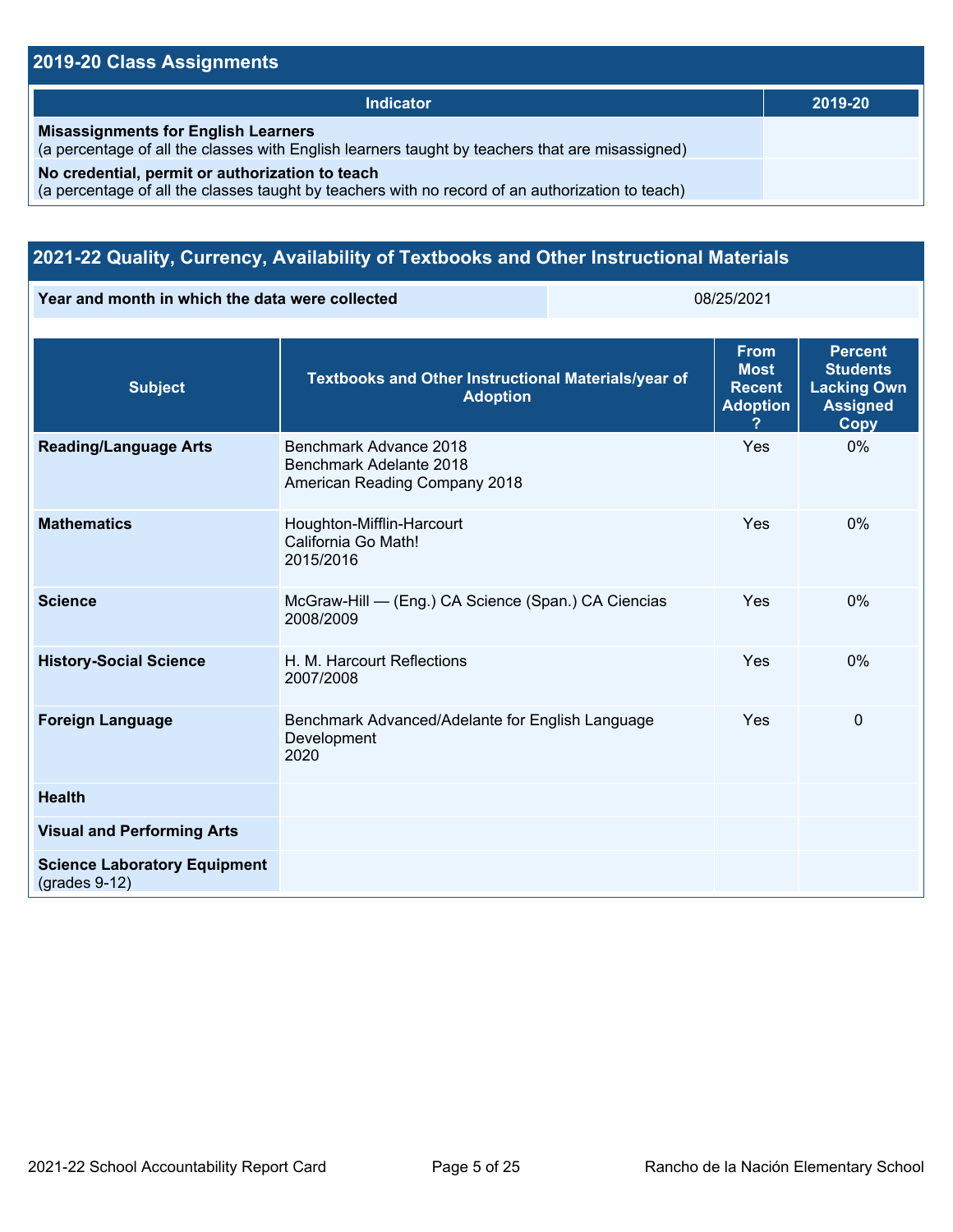## **2019-20 Class Assignments**

| Indicator                                                                                                                                           | 2019-20 |
|-----------------------------------------------------------------------------------------------------------------------------------------------------|---------|
| <b>Misassignments for English Learners</b><br>(a percentage of all the classes with English learners taught by teachers that are misassigned)       |         |
| No credential, permit or authorization to teach<br>(a percentage of all the classes taught by teachers with no record of an authorization to teach) |         |

## **2021-22 Quality, Currency, Availability of Textbooks and Other Instructional Materials**

**Year and month in which the data were collected** 08/25/2021

| <b>Subject</b>                                         | <b>Textbooks and Other Instructional Materials/year of</b><br><b>Adoption</b>      | <b>From</b><br><b>Most</b><br><b>Recent</b><br><b>Adoption</b><br>? | <b>Percent</b><br><b>Students</b><br><b>Lacking Own</b><br><b>Assigned</b><br>Copy |
|--------------------------------------------------------|------------------------------------------------------------------------------------|---------------------------------------------------------------------|------------------------------------------------------------------------------------|
| <b>Reading/Language Arts</b>                           | Benchmark Advance 2018<br>Benchmark Adelante 2018<br>American Reading Company 2018 | Yes                                                                 | $0\%$                                                                              |
| <b>Mathematics</b>                                     | Houghton-Mifflin-Harcourt<br>California Go Math!<br>2015/2016                      | Yes                                                                 | $0\%$                                                                              |
| <b>Science</b>                                         | McGraw-Hill - (Eng.) CA Science (Span.) CA Ciencias<br>2008/2009                   | Yes                                                                 | 0%                                                                                 |
| <b>History-Social Science</b>                          | H. M. Harcourt Reflections<br>2007/2008                                            | Yes                                                                 | $0\%$                                                                              |
| <b>Foreign Language</b>                                | Benchmark Advanced/Adelante for English Language<br>Development<br>2020            | Yes                                                                 | $\Omega$                                                                           |
| <b>Health</b>                                          |                                                                                    |                                                                     |                                                                                    |
| <b>Visual and Performing Arts</b>                      |                                                                                    |                                                                     |                                                                                    |
| <b>Science Laboratory Equipment</b><br>$(grades 9-12)$ |                                                                                    |                                                                     |                                                                                    |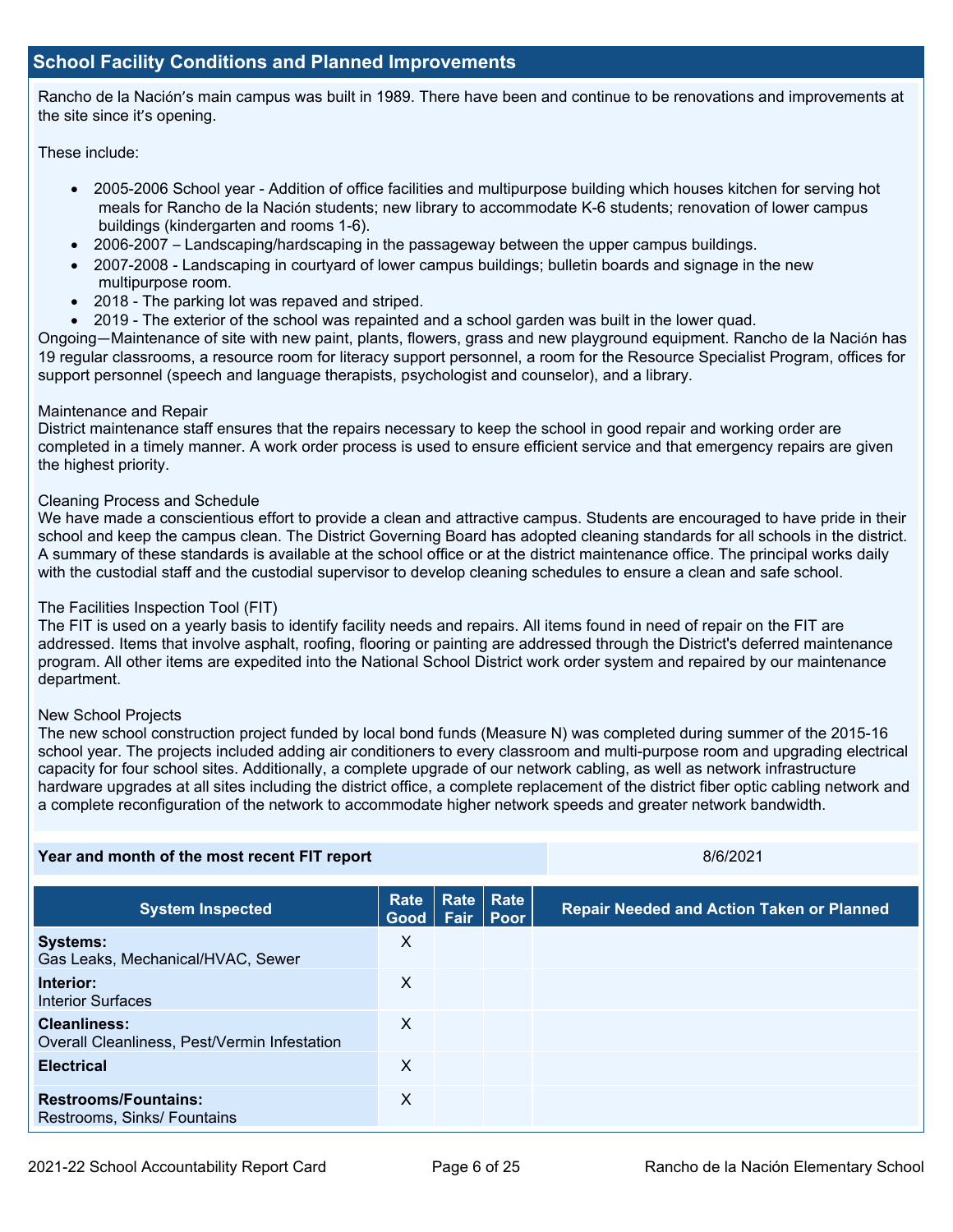#### **School Facility Conditions and Planned Improvements**

Rancho de la Nación's main campus was built in 1989. There have been and continue to be renovations and improvements at the site since it's opening.

These include:

- 2005-2006 School year Addition of office facilities and multipurpose building which houses kitchen for serving hot meals for Rancho de la Nación students; new library to accommodate K-6 students; renovation of lower campus buildings (kindergarten and rooms 1-6).
- 2006-2007 Landscaping/hardscaping in the passageway between the upper campus buildings.
- 2007-2008 Landscaping in courtyard of lower campus buildings; bulletin boards and signage in the new multipurpose room.
- 2018 The parking lot was repaved and striped.
- 2019 The exterior of the school was repainted and a school garden was built in the lower guad.

 19 regular classrooms, a resource room for literacy support personnel, a room for the Resource Specialist Program, offices for Ongoing—Maintenance of site with new paint, plants, flowers, grass and new playground equipment. Rancho de la Nación has support personnel (speech and language therapists, psychologist and counselor), and a library.

#### Maintenance and Repair

District maintenance staff ensures that the repairs necessary to keep the school in good repair and working order are completed in a timely manner. A work order process is used to ensure efficient service and that emergency repairs are given the highest priority.

#### Cleaning Process and Schedule

 We have made a conscientious effort to provide a clean and attractive campus. Students are encouraged to have pride in their A summary of these standards is available at the school office or at the district maintenance office. The principal works daily with the custodial staff and the custodial supervisor to develop cleaning schedules to ensure a clean and safe school. school and keep the campus clean. The District Governing Board has adopted cleaning standards for all schools in the district.

#### The Facilities Inspection Tool (FIT)

 addressed. Items that involve asphalt, roofing, flooring or painting are addressed through the District's deferred maintenance program. All other items are expedited into the National School District work order system and repaired by our maintenance The FIT is used on a yearly basis to identify facility needs and repairs. All items found in need of repair on the FIT are department.

#### New School Projects

The new school construction project funded by local bond funds (Measure N) was completed during summer of the 2015-16 school year. The projects included adding air conditioners to every classroom and multi-purpose room and upgrading electrical capacity for four school sites. Additionally, a complete upgrade of our network cabling, as well as network infrastructure hardware upgrades at all sites including the district office, a complete replacement of the district fiber optic cabling network and a complete reconfiguration of the network to accommodate higher network speeds and greater network bandwidth.

| Year and month of the most recent FIT report                        |              |      | 8/6/2021                        |                                                  |
|---------------------------------------------------------------------|--------------|------|---------------------------------|--------------------------------------------------|
| <b>System Inspected</b>                                             | Rate<br>Good | Fair | <b>Rate Rate</b><br><b>Poor</b> | <b>Repair Needed and Action Taken or Planned</b> |
| <b>Systems:</b><br>Gas Leaks, Mechanical/HVAC, Sewer                | X            |      |                                 |                                                  |
| Interior:<br><b>Interior Surfaces</b>                               | X            |      |                                 |                                                  |
| <b>Cleanliness:</b><br>Overall Cleanliness, Pest/Vermin Infestation | X            |      |                                 |                                                  |
| <b>Electrical</b>                                                   | $\times$     |      |                                 |                                                  |
| <b>Restrooms/Fountains:</b><br>Restrooms, Sinks/ Fountains          | X            |      |                                 |                                                  |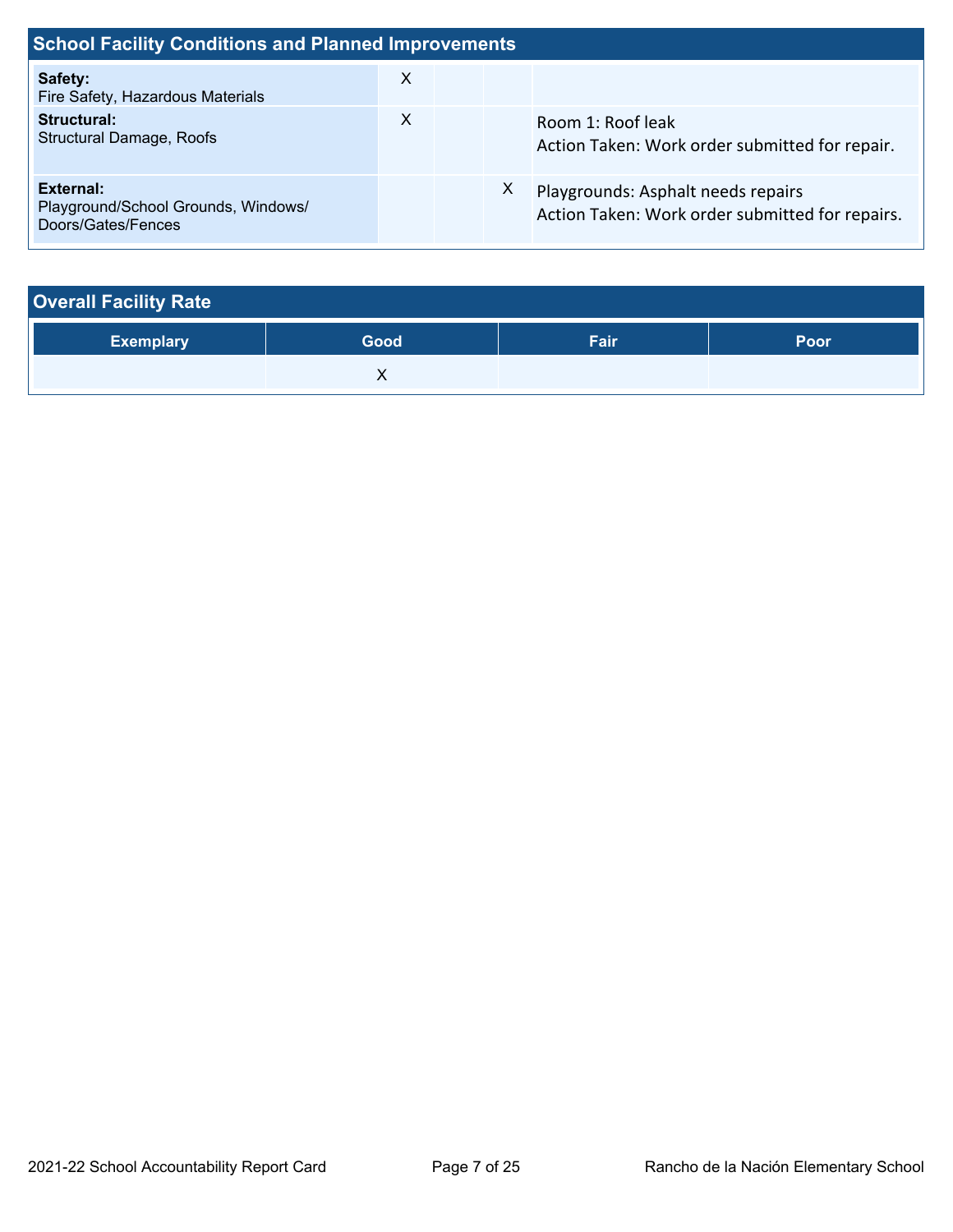| <b>School Facility Conditions and Planned Improvements</b>             |              |  |    |                                                                                       |  |
|------------------------------------------------------------------------|--------------|--|----|---------------------------------------------------------------------------------------|--|
| Safety:<br>Fire Safety, Hazardous Materials                            | X            |  |    |                                                                                       |  |
| Structural:<br><b>Structural Damage, Roofs</b>                         | $\mathsf{X}$ |  |    | Room 1: Roof leak<br>Action Taken: Work order submitted for repair.                   |  |
| External:<br>Playground/School Grounds, Windows/<br>Doors/Gates/Fences |              |  | X. | Playgrounds: Asphalt needs repairs<br>Action Taken: Work order submitted for repairs. |  |

| <b>Overall Facility Rate</b> |      |      |      |  |  |  |
|------------------------------|------|------|------|--|--|--|
| <b>Exemplary</b>             | Good | Fair | Poor |  |  |  |
|                              |      |      |      |  |  |  |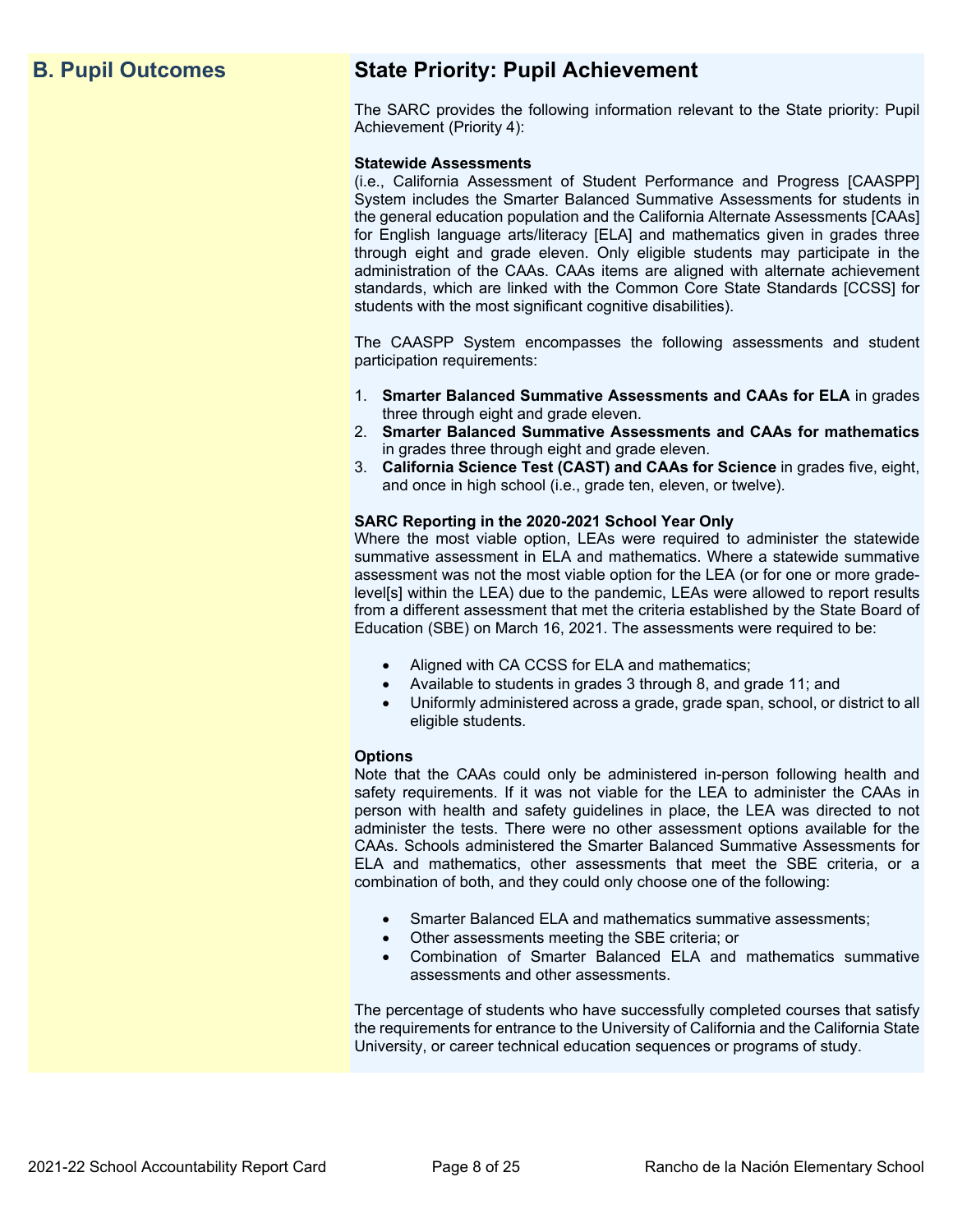## **B. Pupil Outcomes State Priority: Pupil Achievement**

The SARC provides the following information relevant to the State priority: Pupil Achievement (Priority 4):

#### **Statewide Assessments**

 (i.e., California Assessment of Student Performance and Progress [CAASPP] System includes the Smarter Balanced Summative Assessments for students in for English language arts/literacy [ELA] and mathematics given in grades three through eight and grade eleven. Only eligible students may participate in the standards, which are linked with the Common Core State Standards [CCSS] for the general education population and the California Alternate Assessments [CAAs] administration of the CAAs. CAAs items are aligned with alternate achievement students with the most significant cognitive disabilities).

The CAASPP System encompasses the following assessments and student participation requirements:

- 1. **Smarter Balanced Summative Assessments and CAAs for ELA** in grades three through eight and grade eleven.
- 2. **Smarter Balanced Summative Assessments and CAAs for mathematics**  in grades three through eight and grade eleven.
- 3. **California Science Test (CAST) and CAAs for Science** in grades five, eight, and once in high school (i.e., grade ten, eleven, or twelve).

#### **SARC Reporting in the 2020-2021 School Year Only**

Where the most viable option, LEAs were required to administer the statewide summative assessment in ELA and mathematics. Where a statewide summative assessment was not the most viable option for the LEA (or for one or more gradelevel[s] within the LEA) due to the pandemic, LEAs were allowed to report results from a different assessment that met the criteria established by the State Board of Education (SBE) on March 16, 2021. The assessments were required to be:

- Aligned with CA CCSS for ELA and mathematics;
- Available to students in grades 3 through 8, and grade 11; and
- Uniformly administered across a grade, grade span, school, or district to all eligible students.

#### **Options**

Note that the CAAs could only be administered in-person following health and safety requirements. If it was not viable for the LEA to administer the CAAs in person with health and safety guidelines in place, the LEA was directed to not administer the tests. There were no other assessment options available for the CAAs. Schools administered the Smarter Balanced Summative Assessments for ELA and mathematics, other assessments that meet the SBE criteria, or a combination of both, and they could only choose one of the following:

- Smarter Balanced ELA and mathematics summative assessments;
- Other assessments meeting the SBE criteria; or
- Combination of Smarter Balanced ELA and mathematics summative assessments and other assessments.

The percentage of students who have successfully completed courses that satisfy the requirements for entrance to the University of California and the California State University, or career technical education sequences or programs of study.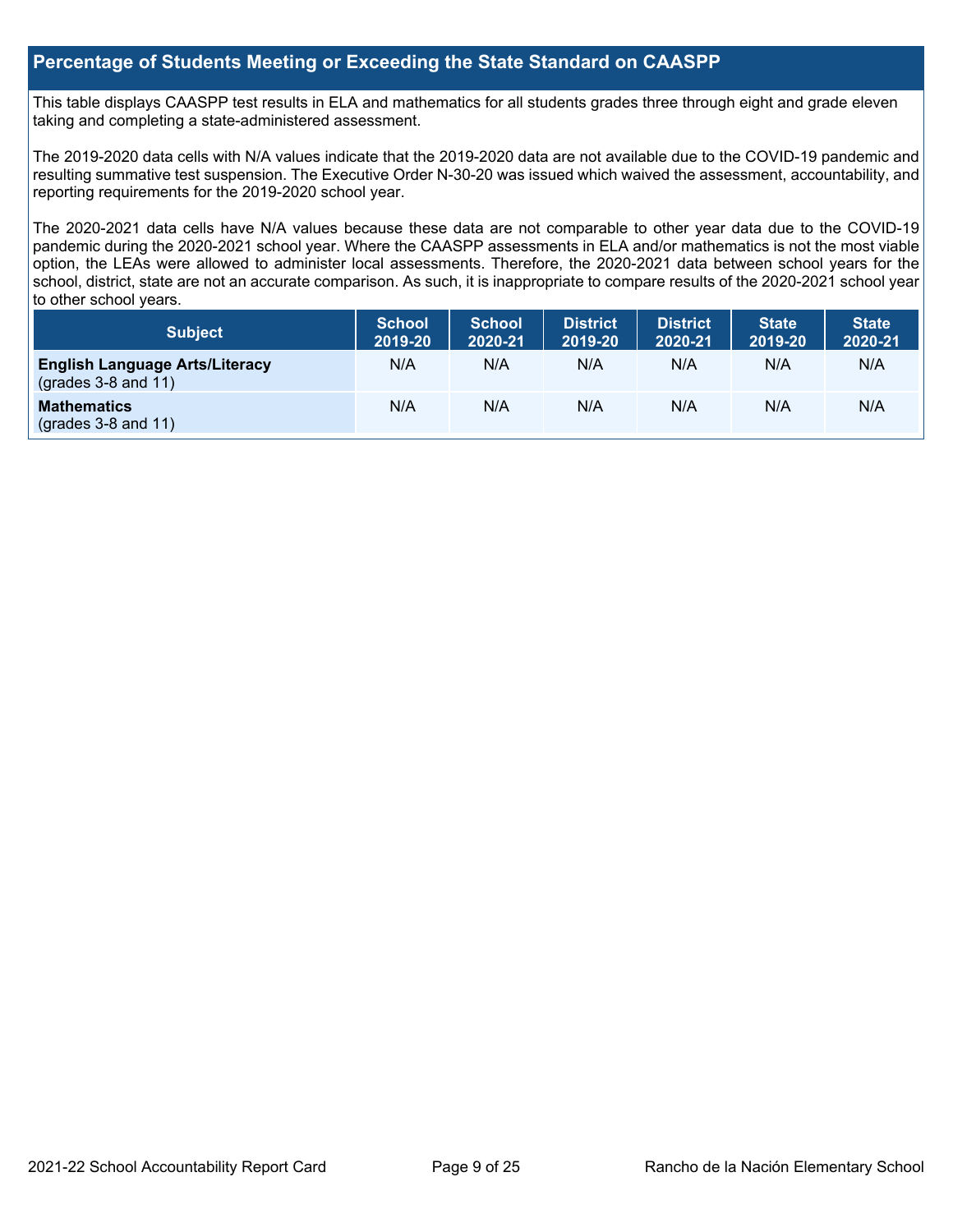#### **Percentage of Students Meeting or Exceeding the State Standard on CAASPP**

 taking and completing a state-administered assessment. This table displays CAASPP test results in ELA and mathematics for all students grades three through eight and grade eleven

The 2019-2020 data cells with N/A values indicate that the 2019-2020 data are not available due to the COVID-19 pandemic and resulting summative test suspension. The Executive Order N-30-20 was issued which waived the assessment, accountability, and reporting requirements for the 2019-2020 school year.

 pandemic during the 2020-2021 school year. Where the CAASPP assessments in ELA and/or mathematics is not the most viable school, district, state are not an accurate comparison. As such, it is inappropriate to compare results of the 2020-2021 school year The 2020-2021 data cells have N/A values because these data are not comparable to other year data due to the COVID-19 option, the LEAs were allowed to administer local assessments. Therefore, the 2020-2021 data between school years for the to other school years.

| Subject                                                              | <b>School</b><br>2019-20 | <b>School</b><br>2020-21 | <b>District</b><br>2019-20 | <b>District</b><br>2020-21 | <b>State</b><br>2019-20 | <b>State</b><br>2020-21 |
|----------------------------------------------------------------------|--------------------------|--------------------------|----------------------------|----------------------------|-------------------------|-------------------------|
| <b>English Language Arts/Literacy</b><br>$\left($ grades 3-8 and 11) | N/A                      | N/A                      | N/A                        | N/A                        | N/A                     | N/A                     |
| <b>Mathematics</b><br>$(grades 3-8 and 11)$                          | N/A                      | N/A                      | N/A                        | N/A                        | N/A                     | N/A                     |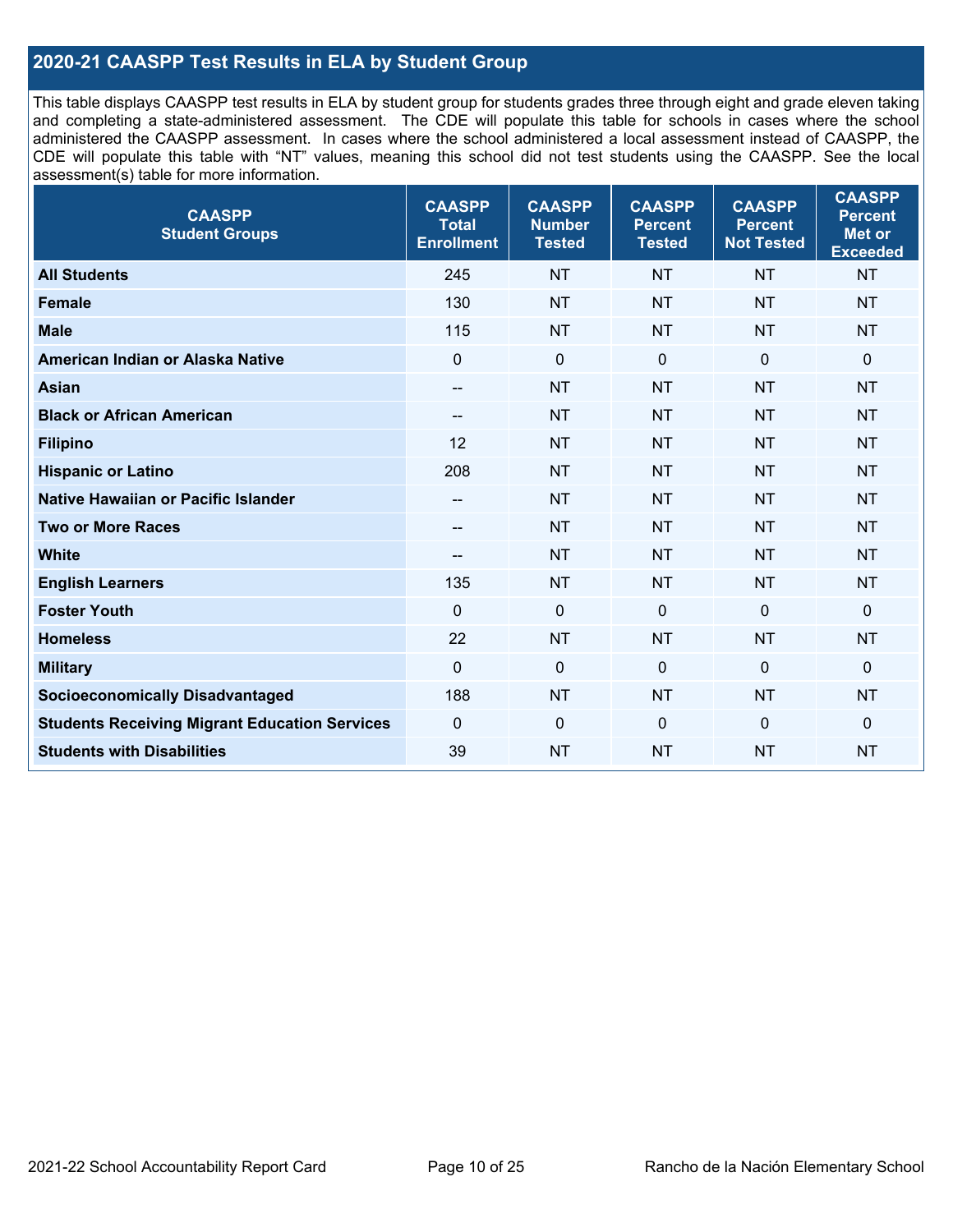### **2020-21 CAASPP Test Results in ELA by Student Group**

 and completing a state-administered assessment. The CDE will populate this table for schools in cases where the school CDE will populate this table with "NT" values, meaning this school did not test students using the CAASPP. See the local This table displays CAASPP test results in ELA by student group for students grades three through eight and grade eleven taking administered the CAASPP assessment. In cases where the school administered a local assessment instead of CAASPP, the assessment(s) table for more information.

| <b>CAASPP</b><br><b>Student Groups</b>               | <b>CAASPP</b><br><b>Total</b><br><b>Enrollment</b> | <b>CAASPP</b><br><b>Number</b><br><b>Tested</b> | <b>CAASPP</b><br><b>Percent</b><br><b>Tested</b> | <b>CAASPP</b><br><b>Percent</b><br><b>Not Tested</b> | <b>CAASPP</b><br><b>Percent</b><br>Met or<br><b>Exceeded</b> |
|------------------------------------------------------|----------------------------------------------------|-------------------------------------------------|--------------------------------------------------|------------------------------------------------------|--------------------------------------------------------------|
| <b>All Students</b>                                  | 245                                                | <b>NT</b>                                       | <b>NT</b>                                        | <b>NT</b>                                            | <b>NT</b>                                                    |
| <b>Female</b>                                        | 130                                                | <b>NT</b>                                       | <b>NT</b>                                        | <b>NT</b>                                            | <b>NT</b>                                                    |
| <b>Male</b>                                          | 115                                                | <b>NT</b>                                       | <b>NT</b>                                        | <b>NT</b>                                            | <b>NT</b>                                                    |
| American Indian or Alaska Native                     | $\mathbf 0$                                        | $\mathbf 0$                                     | $\mathbf 0$                                      | $\overline{0}$                                       | 0                                                            |
| <b>Asian</b>                                         | $\overline{\phantom{a}}$                           | <b>NT</b>                                       | <b>NT</b>                                        | <b>NT</b>                                            | <b>NT</b>                                                    |
| <b>Black or African American</b>                     | $\overline{\phantom{a}}$                           | <b>NT</b>                                       | <b>NT</b>                                        | <b>NT</b>                                            | <b>NT</b>                                                    |
| <b>Filipino</b>                                      | 12                                                 | <b>NT</b>                                       | <b>NT</b>                                        | <b>NT</b>                                            | <b>NT</b>                                                    |
| <b>Hispanic or Latino</b>                            | 208                                                | <b>NT</b>                                       | <b>NT</b>                                        | <b>NT</b>                                            | <b>NT</b>                                                    |
| Native Hawaiian or Pacific Islander                  | $\overline{\phantom{a}}$                           | <b>NT</b>                                       | <b>NT</b>                                        | <b>NT</b>                                            | <b>NT</b>                                                    |
| <b>Two or More Races</b>                             | $-$                                                | <b>NT</b>                                       | <b>NT</b>                                        | <b>NT</b>                                            | <b>NT</b>                                                    |
| <b>White</b>                                         | $\overline{\phantom{a}}$                           | <b>NT</b>                                       | <b>NT</b>                                        | <b>NT</b>                                            | <b>NT</b>                                                    |
| <b>English Learners</b>                              | 135                                                | <b>NT</b>                                       | <b>NT</b>                                        | <b>NT</b>                                            | <b>NT</b>                                                    |
| <b>Foster Youth</b>                                  | $\Omega$                                           | $\mathbf 0$                                     | $\Omega$                                         | $\mathbf 0$                                          | $\mathbf{0}$                                                 |
| <b>Homeless</b>                                      | 22                                                 | <b>NT</b>                                       | <b>NT</b>                                        | <b>NT</b>                                            | <b>NT</b>                                                    |
| <b>Military</b>                                      | $\overline{0}$                                     | $\mathbf 0$                                     | $\mathbf 0$                                      | $\overline{0}$                                       | $\mathbf 0$                                                  |
| <b>Socioeconomically Disadvantaged</b>               | 188                                                | <b>NT</b>                                       | <b>NT</b>                                        | <b>NT</b>                                            | <b>NT</b>                                                    |
| <b>Students Receiving Migrant Education Services</b> | $\mathbf 0$                                        | $\mathbf 0$                                     | $\Omega$                                         | $\mathbf 0$                                          | 0                                                            |
| <b>Students with Disabilities</b>                    | 39                                                 | <b>NT</b>                                       | <b>NT</b>                                        | <b>NT</b>                                            | <b>NT</b>                                                    |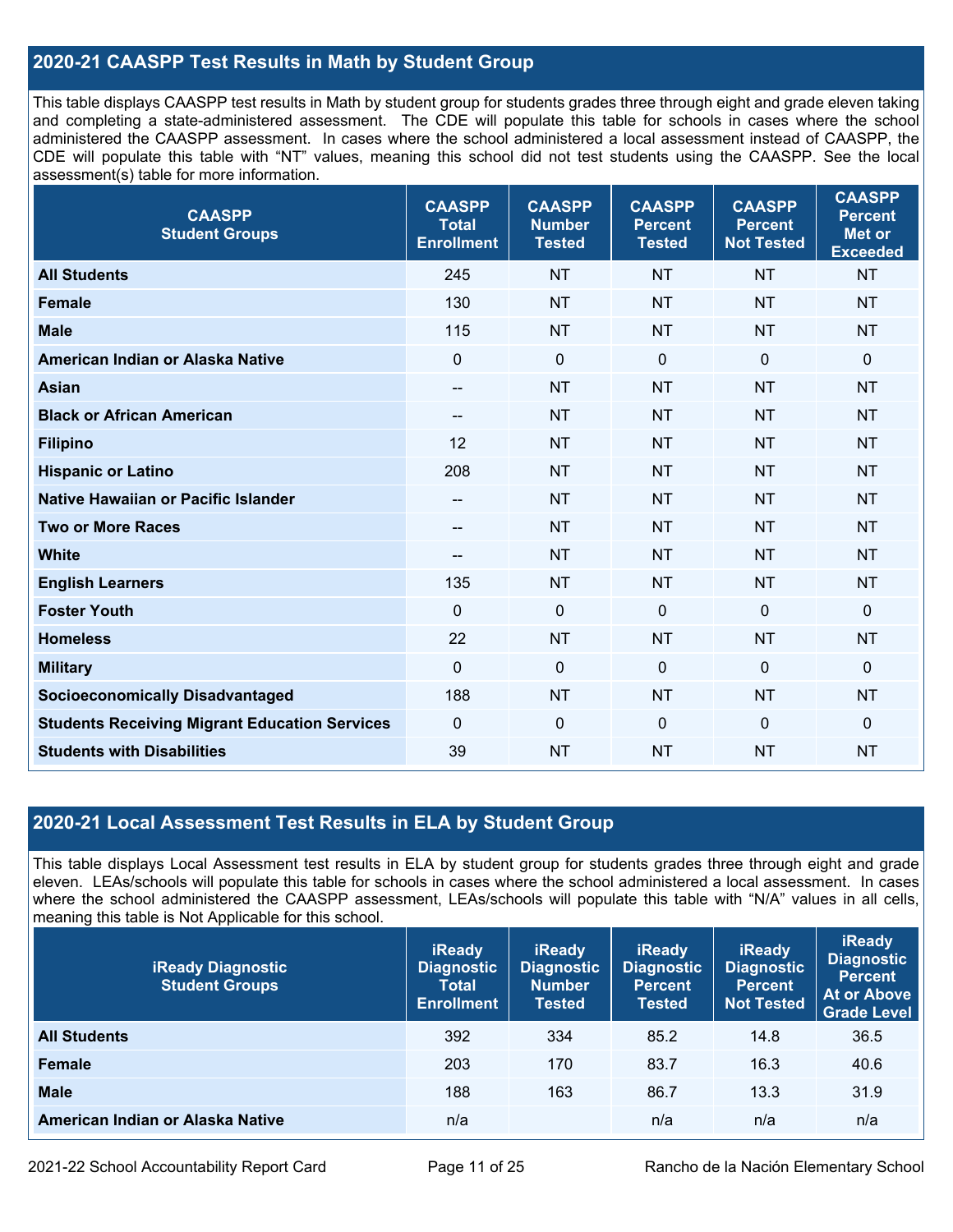### **2020-21 CAASPP Test Results in Math by Student Group**

 This table displays CAASPP test results in Math by student group for students grades three through eight and grade eleven taking and completing a state-administered assessment. The CDE will populate this table for schools in cases where the school CDE will populate this table with "NT" values, meaning this school did not test students using the CAASPP. See the local administered the CAASPP assessment. In cases where the school administered a local assessment instead of CAASPP, the assessment(s) table for more information.

| <b>CAASPP</b><br><b>Student Groups</b>               | <b>CAASPP</b><br><b>Total</b><br><b>Enrollment</b> | <b>CAASPP</b><br><b>Number</b><br><b>Tested</b> | <b>CAASPP</b><br><b>Percent</b><br><b>Tested</b> | <b>CAASPP</b><br><b>Percent</b><br><b>Not Tested</b> | <b>CAASPP</b><br><b>Percent</b><br><b>Met or</b><br><b>Exceeded</b> |
|------------------------------------------------------|----------------------------------------------------|-------------------------------------------------|--------------------------------------------------|------------------------------------------------------|---------------------------------------------------------------------|
| <b>All Students</b>                                  | 245                                                | <b>NT</b>                                       | <b>NT</b>                                        | <b>NT</b>                                            | <b>NT</b>                                                           |
| <b>Female</b>                                        | 130                                                | <b>NT</b>                                       | <b>NT</b>                                        | <b>NT</b>                                            | <b>NT</b>                                                           |
| <b>Male</b>                                          | 115                                                | <b>NT</b>                                       | <b>NT</b>                                        | <b>NT</b>                                            | <b>NT</b>                                                           |
| American Indian or Alaska Native                     | $\mathbf 0$                                        | $\mathbf 0$                                     | $\mathbf 0$                                      | 0                                                    | $\mathbf 0$                                                         |
| <b>Asian</b>                                         | $- -$                                              | <b>NT</b>                                       | <b>NT</b>                                        | <b>NT</b>                                            | <b>NT</b>                                                           |
| <b>Black or African American</b>                     | $\hspace{0.05cm}$                                  | <b>NT</b>                                       | <b>NT</b>                                        | <b>NT</b>                                            | <b>NT</b>                                                           |
| <b>Filipino</b>                                      | 12                                                 | <b>NT</b>                                       | <b>NT</b>                                        | <b>NT</b>                                            | <b>NT</b>                                                           |
| <b>Hispanic or Latino</b>                            | 208                                                | <b>NT</b>                                       | <b>NT</b>                                        | <b>NT</b>                                            | <b>NT</b>                                                           |
| <b>Native Hawaiian or Pacific Islander</b>           | $-\!$ $\!-$                                        | <b>NT</b>                                       | <b>NT</b>                                        | <b>NT</b>                                            | <b>NT</b>                                                           |
| <b>Two or More Races</b>                             | $- -$                                              | <b>NT</b>                                       | <b>NT</b>                                        | <b>NT</b>                                            | <b>NT</b>                                                           |
| <b>White</b>                                         | $\overline{\phantom{a}}$                           | <b>NT</b>                                       | <b>NT</b>                                        | <b>NT</b>                                            | <b>NT</b>                                                           |
| <b>English Learners</b>                              | 135                                                | <b>NT</b>                                       | <b>NT</b>                                        | <b>NT</b>                                            | <b>NT</b>                                                           |
| <b>Foster Youth</b>                                  | $\mathbf{0}$                                       | $\mathbf 0$                                     | $\mathbf 0$                                      | $\Omega$                                             | $\mathbf 0$                                                         |
| <b>Homeless</b>                                      | 22                                                 | <b>NT</b>                                       | <b>NT</b>                                        | <b>NT</b>                                            | <b>NT</b>                                                           |
| <b>Military</b>                                      | $\mathbf 0$                                        | $\mathbf 0$                                     | $\mathbf 0$                                      | $\mathbf 0$                                          | $\mathbf 0$                                                         |
| <b>Socioeconomically Disadvantaged</b>               | 188                                                | <b>NT</b>                                       | <b>NT</b>                                        | <b>NT</b>                                            | <b>NT</b>                                                           |
| <b>Students Receiving Migrant Education Services</b> | $\mathbf 0$                                        | $\mathbf 0$                                     | $\mathbf 0$                                      | 0                                                    | $\mathbf 0$                                                         |
| <b>Students with Disabilities</b>                    | 39                                                 | <b>NT</b>                                       | <b>NT</b>                                        | <b>NT</b>                                            | <b>NT</b>                                                           |

#### **2020-21 Local Assessment Test Results in ELA by Student Group**

 eleven. LEAs/schools will populate this table for schools in cases where the school administered a local assessment. In cases This table displays Local Assessment test results in ELA by student group for students grades three through eight and grade where the school administered the CAASPP assessment, LEAs/schools will populate this table with "N/A" values in all cells, meaning this table is Not Applicable for this school.

| <b>iReady Diagnostic</b><br><b>Student Groups</b> | <b>iReady</b><br><b>Diagnostic</b><br><b>Total</b><br><b>Enrollment</b> | <b>iReady</b><br><b>Diagnostic</b><br><b>Number</b><br>Tested | <b>iReady</b><br><b>Diagnostic</b><br><b>Percent</b><br><b>Tested</b> | <b>iReady</b><br><b>Diagnostic</b><br><b>Percent</b><br><b>Not Tested</b> | <b>iReady</b><br><b>Diagnostic</b><br><b>Percent</b><br>At or Above<br><b>Grade Level</b> |
|---------------------------------------------------|-------------------------------------------------------------------------|---------------------------------------------------------------|-----------------------------------------------------------------------|---------------------------------------------------------------------------|-------------------------------------------------------------------------------------------|
| <b>All Students</b>                               | 392                                                                     | 334                                                           | 85.2                                                                  | 14.8                                                                      | 36.5                                                                                      |
| <b>Female</b>                                     | 203                                                                     | 170                                                           | 83.7                                                                  | 16.3                                                                      | 40.6                                                                                      |
| <b>Male</b>                                       | 188                                                                     | 163                                                           | 86.7                                                                  | 13.3                                                                      | 31.9                                                                                      |
| American Indian or Alaska Native                  | n/a                                                                     |                                                               | n/a                                                                   | n/a                                                                       | n/a                                                                                       |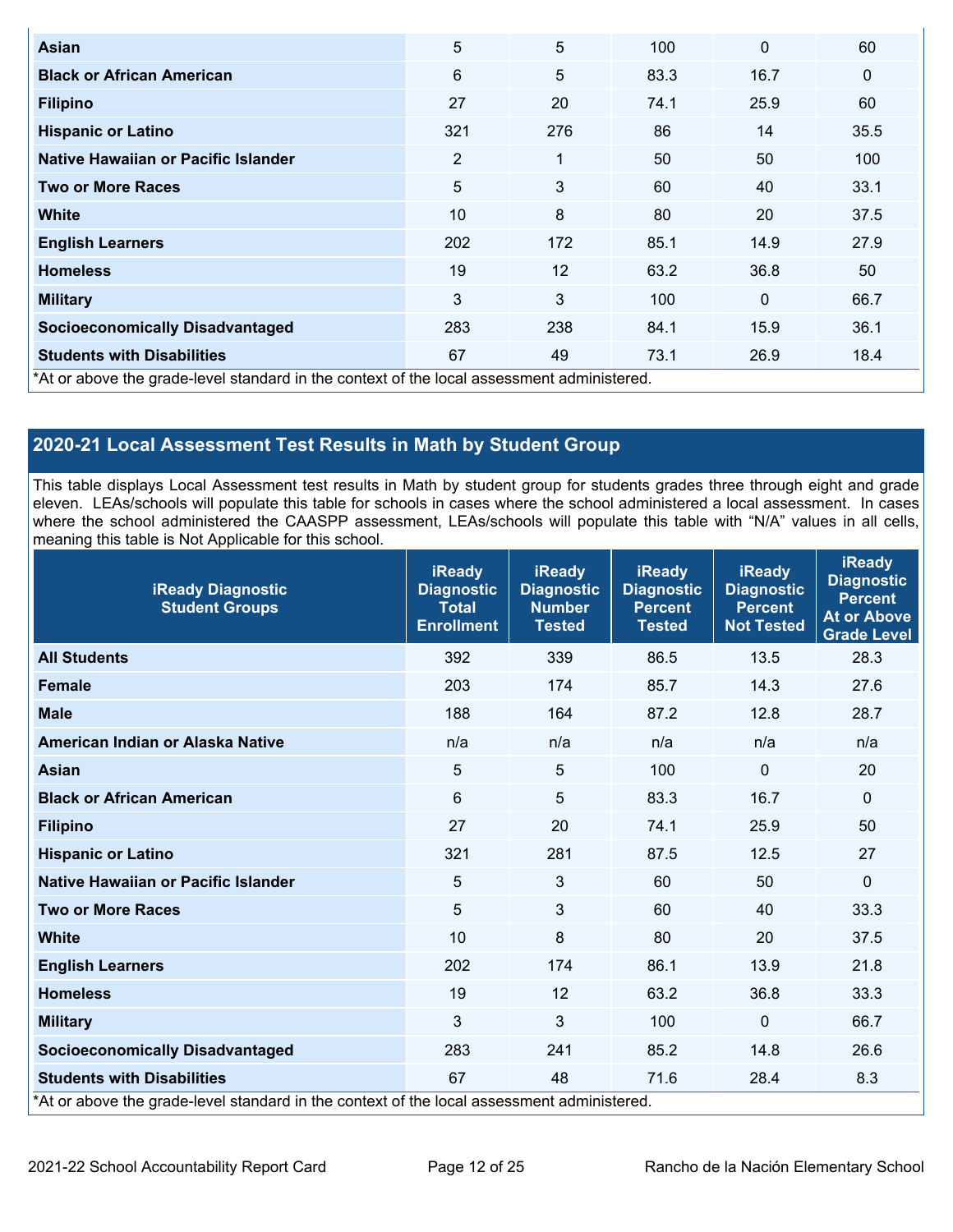| Asian                                                                                      | 5   | 5            | 100  | $\mathbf{0}$ | 60          |
|--------------------------------------------------------------------------------------------|-----|--------------|------|--------------|-------------|
| <b>Black or African American</b>                                                           | 6   | 5            | 83.3 | 16.7         | $\mathbf 0$ |
| <b>Filipino</b>                                                                            | 27  | 20           | 74.1 | 25.9         | 60          |
| <b>Hispanic or Latino</b>                                                                  | 321 | 276          | 86   | 14           | 35.5        |
| Native Hawaiian or Pacific Islander                                                        | 2   | $\mathbf{1}$ | 50   | 50           | 100         |
| <b>Two or More Races</b>                                                                   | 5   | 3            | 60   | 40           | 33.1        |
| White                                                                                      | 10  | 8            | 80   | 20           | 37.5        |
| <b>English Learners</b>                                                                    | 202 | 172          | 85.1 | 14.9         | 27.9        |
| <b>Homeless</b>                                                                            | 19  | 12           | 63.2 | 36.8         | 50          |
| <b>Military</b>                                                                            | 3   | 3            | 100  | $\mathbf 0$  | 66.7        |
| <b>Socioeconomically Disadvantaged</b>                                                     | 283 | 238          | 84.1 | 15.9         | 36.1        |
| <b>Students with Disabilities</b>                                                          | 67  | 49           | 73.1 | 26.9         | 18.4        |
| *At or above the grade-level standard in the context of the local assessment administered. |     |              |      |              |             |

## **2020-21 Local Assessment Test Results in Math by Student Group**

 This table displays Local Assessment test results in Math by student group for students grades three through eight and grade eleven. LEAs/schools will populate this table for schools in cases where the school administered a local assessment. In cases where the school administered the CAASPP assessment, LEAs/schools will populate this table with "N/A" values in all cells, meaning this table is Not Applicable for this school.

| <b>iReady Diagnostic</b><br><b>Student Groups</b>                                          | <b>iReady</b><br><b>Diagnostic</b><br><b>Total</b><br><b>Enrollment</b> | <b>iReady</b><br><b>Diagnostic</b><br><b>Number</b><br><b>Tested</b> | <b>iReady</b><br><b>Diagnostic</b><br><b>Percent</b><br><b>Tested</b> | <b>iReady</b><br><b>Diagnostic</b><br><b>Percent</b><br><b>Not Tested</b> | <b>iReady</b><br><b>Diagnostic</b><br><b>Percent</b><br><b>At or Above</b><br>Grade Level |
|--------------------------------------------------------------------------------------------|-------------------------------------------------------------------------|----------------------------------------------------------------------|-----------------------------------------------------------------------|---------------------------------------------------------------------------|-------------------------------------------------------------------------------------------|
| <b>All Students</b>                                                                        | 392                                                                     | 339                                                                  | 86.5                                                                  | 13.5                                                                      | 28.3                                                                                      |
| <b>Female</b>                                                                              | 203                                                                     | 174                                                                  | 85.7                                                                  | 14.3                                                                      | 27.6                                                                                      |
| <b>Male</b>                                                                                | 188                                                                     | 164                                                                  | 87.2                                                                  | 12.8                                                                      | 28.7                                                                                      |
| American Indian or Alaska Native                                                           | n/a                                                                     | n/a                                                                  | n/a                                                                   | n/a                                                                       | n/a                                                                                       |
| <b>Asian</b>                                                                               | 5                                                                       | 5                                                                    | 100                                                                   | $\mathbf 0$                                                               | 20                                                                                        |
| <b>Black or African American</b>                                                           | 6                                                                       | 5                                                                    | 83.3                                                                  | 16.7                                                                      | $\mathbf 0$                                                                               |
| <b>Filipino</b>                                                                            | 27                                                                      | 20                                                                   | 74.1                                                                  | 25.9                                                                      | 50                                                                                        |
| <b>Hispanic or Latino</b>                                                                  | 321                                                                     | 281                                                                  | 87.5                                                                  | 12.5                                                                      | 27                                                                                        |
| Native Hawaiian or Pacific Islander                                                        | 5                                                                       | $\mathfrak{Z}$                                                       | 60                                                                    | 50                                                                        | 0                                                                                         |
| <b>Two or More Races</b>                                                                   | 5                                                                       | $\mathfrak{S}$                                                       | 60                                                                    | 40                                                                        | 33.3                                                                                      |
| <b>White</b>                                                                               | 10                                                                      | 8                                                                    | 80                                                                    | 20                                                                        | 37.5                                                                                      |
| <b>English Learners</b>                                                                    | 202                                                                     | 174                                                                  | 86.1                                                                  | 13.9                                                                      | 21.8                                                                                      |
| <b>Homeless</b>                                                                            | 19                                                                      | 12                                                                   | 63.2                                                                  | 36.8                                                                      | 33.3                                                                                      |
| <b>Military</b>                                                                            | 3                                                                       | $\mathfrak{S}$                                                       | 100                                                                   | 0                                                                         | 66.7                                                                                      |
| <b>Socioeconomically Disadvantaged</b>                                                     | 283                                                                     | 241                                                                  | 85.2                                                                  | 14.8                                                                      | 26.6                                                                                      |
| <b>Students with Disabilities</b>                                                          | 67                                                                      | 48                                                                   | 71.6                                                                  | 28.4                                                                      | 8.3                                                                                       |
| *At or above the grade-level standard in the context of the local assessment administered. |                                                                         |                                                                      |                                                                       |                                                                           |                                                                                           |

2021-22 School Accountability Report Card Page 12 of 25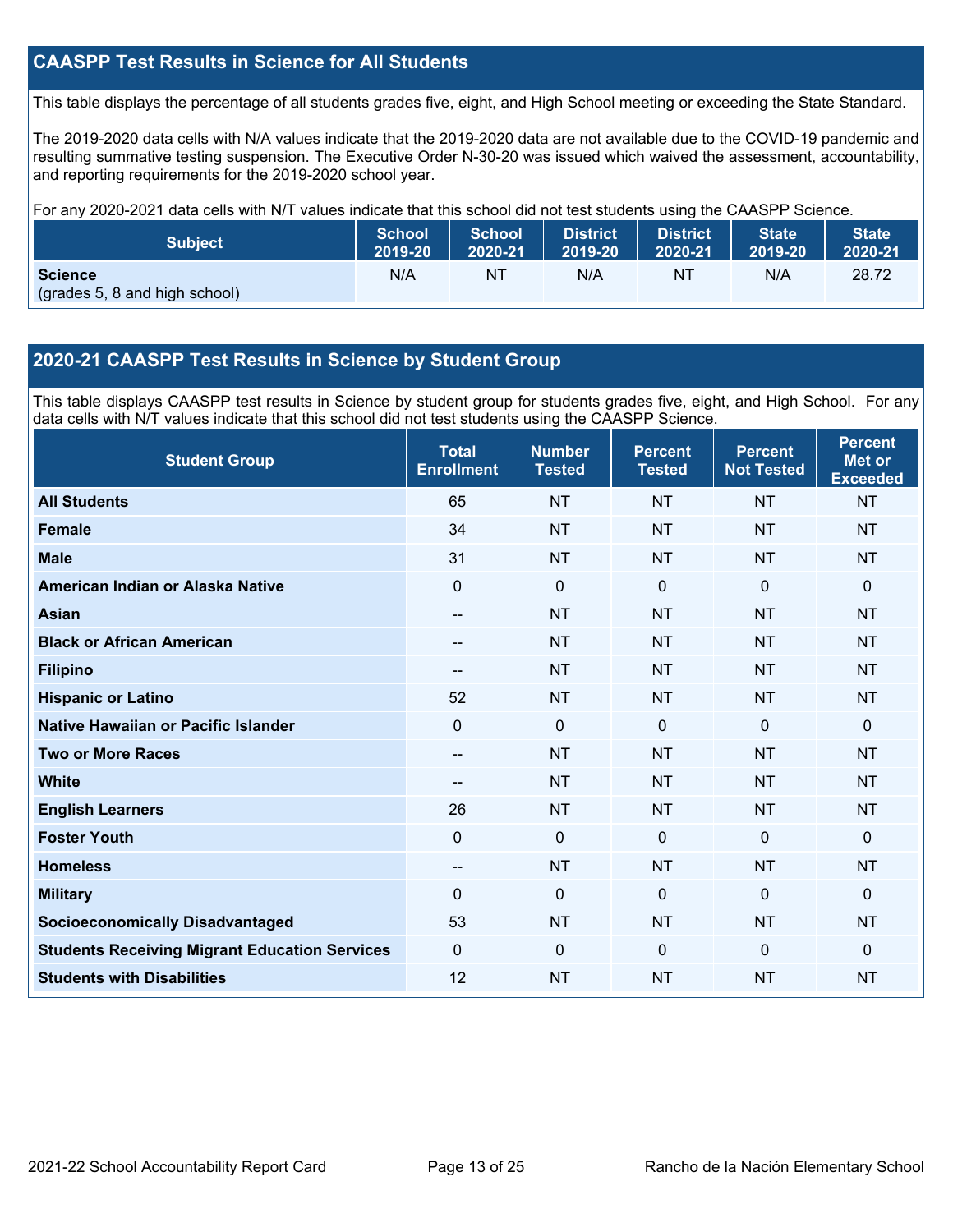### **CAASPP Test Results in Science for All Students**

This table displays the percentage of all students grades five, eight, and High School meeting or exceeding the State Standard.

 resulting summative testing suspension. The Executive Order N-30-20 was issued which waived the assessment, accountability, and reporting requirements for the 2019-2020 school year. The 2019-2020 data cells with N/A values indicate that the 2019-2020 data are not available due to the COVID-19 pandemic and

For any 2020-2021 data cells with N/T values indicate that this school did not test students using the CAASPP Science.

| <b>Subject</b>                                  | <b>School</b> | <b>School</b> | <b>District</b> | <b>District</b> | <b>State</b> | <b>State</b> |
|-------------------------------------------------|---------------|---------------|-----------------|-----------------|--------------|--------------|
|                                                 | 2019-20       | 2020-21       | 2019-20         | 2020-21         | 2019-20      | 2020-21      |
| <b>Science</b><br>(grades 5, 8 and high school) | N/A           | N1            | N/A             | NT              | N/A          | 28.72        |

#### **2020-21 CAASPP Test Results in Science by Student Group**

 This table displays CAASPP test results in Science by student group for students grades five, eight, and High School. For any data cells with N/T values indicate that this school did not test students using the CAASPP Science.

| <b>Student Group</b>                                 | <b>Total</b><br><b>Enrollment</b> | <b>Number</b><br><b>Tested</b> | <b>Percent</b><br><b>Tested</b> | <b>Percent</b><br><b>Not Tested</b> | <b>Percent</b><br>Met or<br><b>Exceeded</b> |
|------------------------------------------------------|-----------------------------------|--------------------------------|---------------------------------|-------------------------------------|---------------------------------------------|
| <b>All Students</b>                                  | 65                                | <b>NT</b>                      | <b>NT</b>                       | <b>NT</b>                           | <b>NT</b>                                   |
| <b>Female</b>                                        | 34                                | <b>NT</b>                      | <b>NT</b>                       | <b>NT</b>                           | <b>NT</b>                                   |
| <b>Male</b>                                          | 31                                | <b>NT</b>                      | <b>NT</b>                       | <b>NT</b>                           | <b>NT</b>                                   |
| American Indian or Alaska Native                     | $\Omega$                          | $\mathbf 0$                    | $\mathbf 0$                     | $\mathbf{0}$                        | $\mathbf{0}$                                |
| <b>Asian</b>                                         | --                                | <b>NT</b>                      | <b>NT</b>                       | <b>NT</b>                           | <b>NT</b>                                   |
| <b>Black or African American</b>                     | --                                | <b>NT</b>                      | <b>NT</b>                       | <b>NT</b>                           | <b>NT</b>                                   |
| <b>Filipino</b>                                      |                                   | <b>NT</b>                      | <b>NT</b>                       | <b>NT</b>                           | <b>NT</b>                                   |
| <b>Hispanic or Latino</b>                            | 52                                | <b>NT</b>                      | <b>NT</b>                       | <b>NT</b>                           | <b>NT</b>                                   |
| Native Hawaiian or Pacific Islander                  | 0                                 | 0                              | $\Omega$                        | $\Omega$                            | $\mathbf 0$                                 |
| <b>Two or More Races</b>                             | $-$                               | <b>NT</b>                      | <b>NT</b>                       | <b>NT</b>                           | <b>NT</b>                                   |
| <b>White</b>                                         | --                                | <b>NT</b>                      | <b>NT</b>                       | <b>NT</b>                           | <b>NT</b>                                   |
| <b>English Learners</b>                              | 26                                | <b>NT</b>                      | <b>NT</b>                       | <b>NT</b>                           | <b>NT</b>                                   |
| <b>Foster Youth</b>                                  | 0                                 | 0                              | $\mathbf{0}$                    | $\mathbf 0$                         | $\mathbf 0$                                 |
| <b>Homeless</b>                                      | --                                | <b>NT</b>                      | <b>NT</b>                       | <b>NT</b>                           | <b>NT</b>                                   |
| <b>Military</b>                                      | $\Omega$                          | 0                              | $\Omega$                        | $\mathbf{0}$                        | $\mathbf 0$                                 |
| <b>Socioeconomically Disadvantaged</b>               | 53                                | <b>NT</b>                      | <b>NT</b>                       | <b>NT</b>                           | <b>NT</b>                                   |
| <b>Students Receiving Migrant Education Services</b> | $\Omega$                          | 0                              | $\Omega$                        | $\Omega$                            | $\mathbf{0}$                                |
| <b>Students with Disabilities</b>                    | 12                                | <b>NT</b>                      | <b>NT</b>                       | <b>NT</b>                           | <b>NT</b>                                   |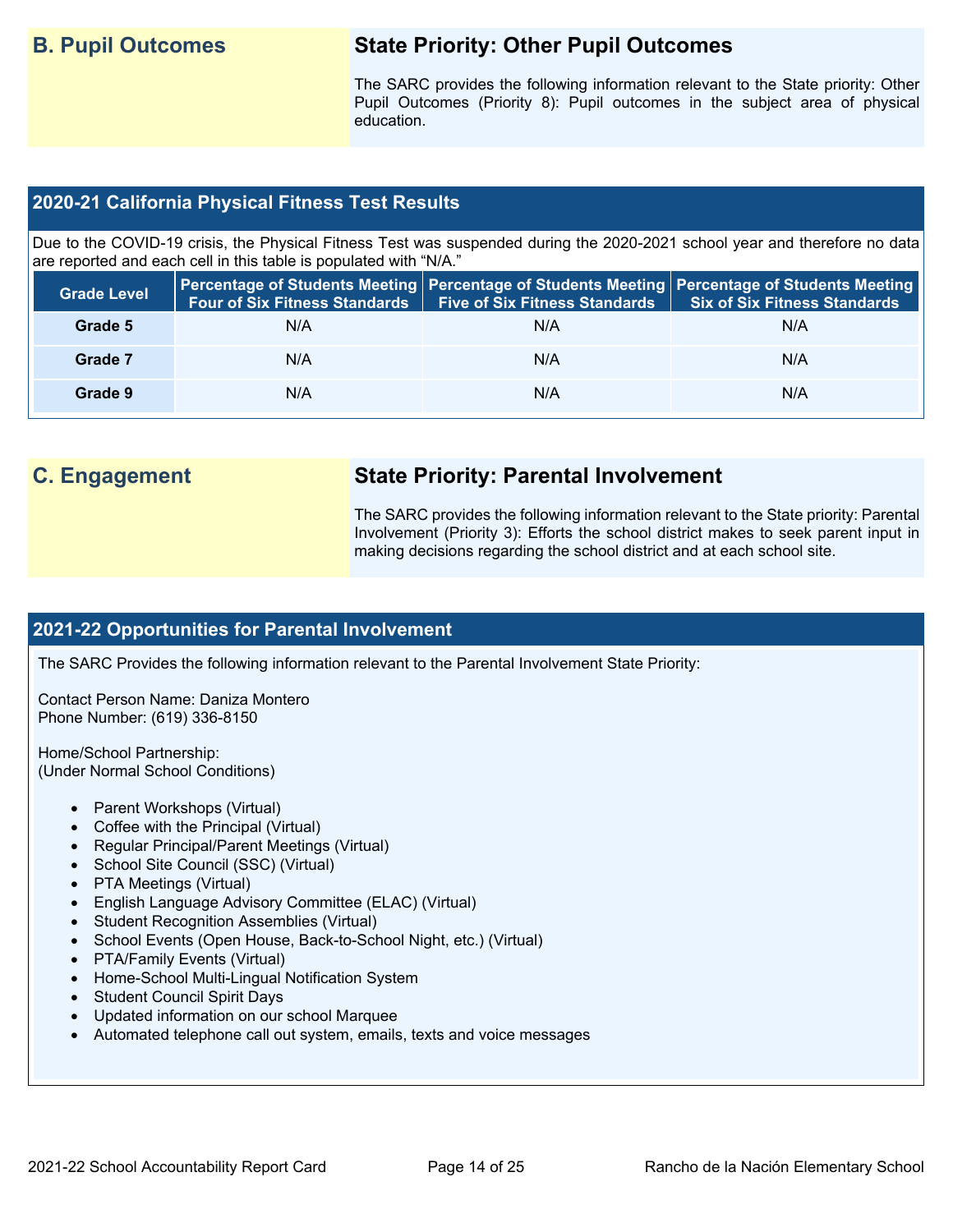## **B. Pupil Outcomes State Priority: Other Pupil Outcomes**

 Pupil Outcomes (Priority 8): Pupil outcomes in the subject area of physical The SARC provides the following information relevant to the State priority: Other education.

### **2020-21 California Physical Fitness Test Results**

 Due to the COVID-19 crisis, the Physical Fitness Test was suspended during the 2020-2021 school year and therefore no data are reported and each cell in this table is populated with "N/A."

| <b>Grade Level</b> | <b>Four of Six Fitness Standards</b> | <b>Five of Six Fitness Standards   Six of Six Fitness Standards</b> | Percentage of Students Meeting   Percentage of Students Meeting   Percentage of Students Meeting |
|--------------------|--------------------------------------|---------------------------------------------------------------------|--------------------------------------------------------------------------------------------------|
| Grade 5            | N/A                                  | N/A                                                                 | N/A                                                                                              |
| Grade 7            | N/A                                  | N/A                                                                 | N/A                                                                                              |
| Grade 9            | N/A                                  | N/A                                                                 | N/A                                                                                              |

## **C. Engagement State Priority: Parental Involvement**

The SARC provides the following information relevant to the State priority: Parental Involvement (Priority 3): Efforts the school district makes to seek parent input in making decisions regarding the school district and at each school site.

#### **2021-22 Opportunities for Parental Involvement**

The SARC Provides the following information relevant to the Parental Involvement State Priority:

Contact Person Name: Daniza Montero Phone Number: (619) 336-8150

Home/School Partnership: (Under Normal School Conditions)

- Parent Workshops (Virtual)
- Coffee with the Principal (Virtual)
- Regular Principal/Parent Meetings (Virtual)
- School Site Council (SSC) (Virtual)
- PTA Meetings (Virtual)
- English Language Advisory Committee (ELAC) (Virtual)
- Student Recognition Assemblies (Virtual)
- School Events (Open House, Back-to-School Night, etc.) (Virtual)
- PTA/Family Events (Virtual)
- Home-School Multi-Lingual Notification System
- Student Council Spirit Days
- Updated information on our school Marquee
- Automated telephone call out system, emails, texts and voice messages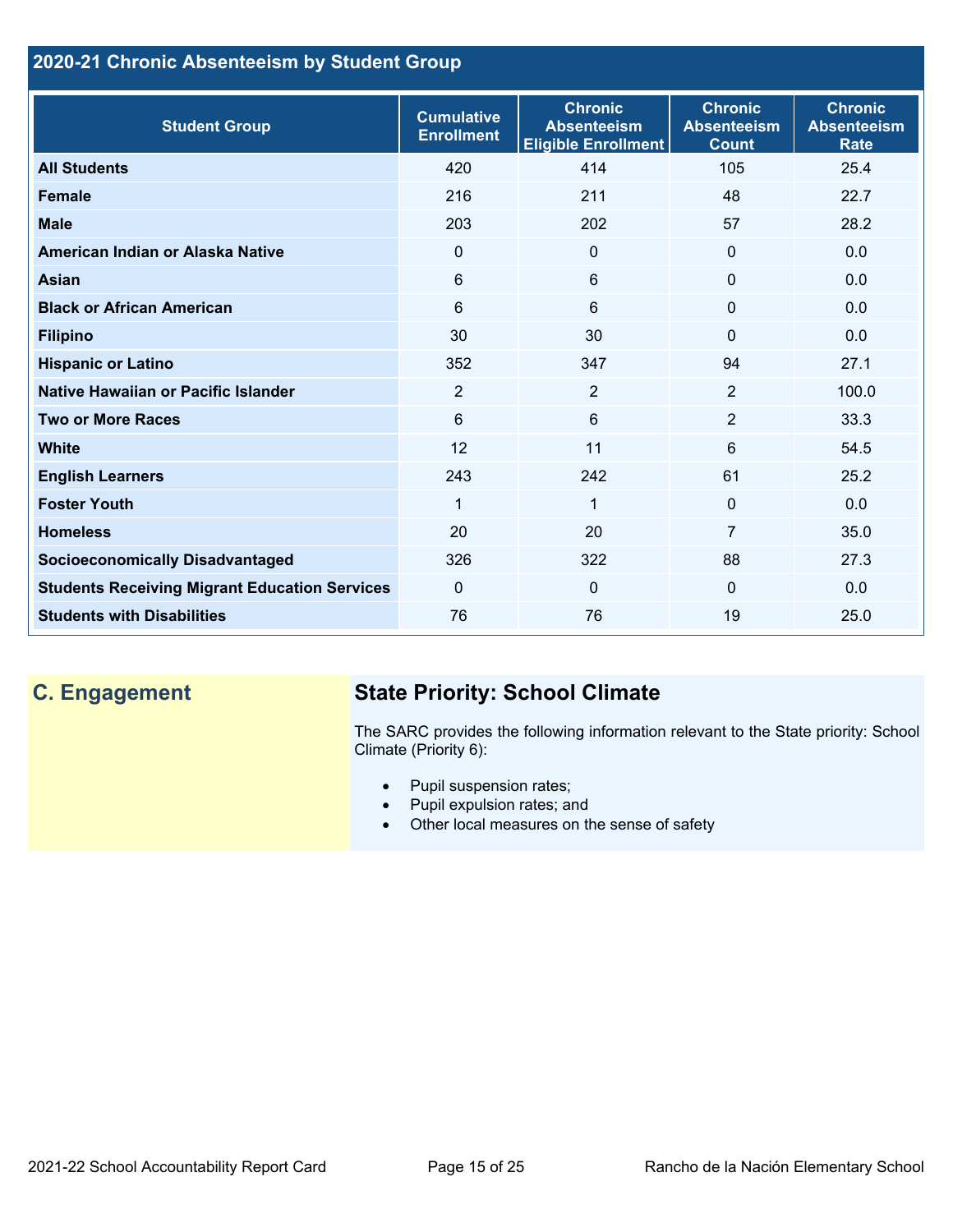## **2020-21 Chronic Absenteeism by Student Group**

| <b>Student Group</b>                                 | <b>Cumulative</b><br><b>Enrollment</b> | <b>Chronic</b><br><b>Absenteeism</b><br><b>Eligible Enrollment</b> | <b>Chronic</b><br><b>Absenteeism</b><br><b>Count</b> | <b>Chronic</b><br><b>Absenteeism</b><br><b>Rate</b> |
|------------------------------------------------------|----------------------------------------|--------------------------------------------------------------------|------------------------------------------------------|-----------------------------------------------------|
| <b>All Students</b>                                  | 420                                    | 414                                                                | 105                                                  | 25.4                                                |
| <b>Female</b>                                        | 216                                    | 211                                                                | 48                                                   | 22.7                                                |
| <b>Male</b>                                          | 203                                    | 202                                                                | 57                                                   | 28.2                                                |
| American Indian or Alaska Native                     | $\Omega$                               | $\Omega$                                                           | $\mathbf{0}$                                         | 0.0                                                 |
| Asian                                                | 6                                      | $6\phantom{1}$                                                     | $\mathbf{0}$                                         | 0.0                                                 |
| <b>Black or African American</b>                     | $6\phantom{a}$                         | $6\phantom{a}$                                                     | $\mathbf 0$                                          | 0.0                                                 |
| <b>Filipino</b>                                      | 30                                     | 30                                                                 | $\mathbf{0}$                                         | 0.0                                                 |
| <b>Hispanic or Latino</b>                            | 352                                    | 347                                                                | 94                                                   | 27.1                                                |
| Native Hawaiian or Pacific Islander                  | $\overline{2}$                         | $\overline{2}$                                                     | 2                                                    | 100.0                                               |
| <b>Two or More Races</b>                             | 6                                      | 6                                                                  | 2                                                    | 33.3                                                |
| <b>White</b>                                         | 12                                     | 11                                                                 | 6                                                    | 54.5                                                |
| <b>English Learners</b>                              | 243                                    | 242                                                                | 61                                                   | 25.2                                                |
| <b>Foster Youth</b>                                  | 1                                      | $\mathbf{1}$                                                       | $\mathbf{0}$                                         | 0.0                                                 |
| <b>Homeless</b>                                      | 20                                     | 20                                                                 | $\overline{7}$                                       | 35.0                                                |
| <b>Socioeconomically Disadvantaged</b>               | 326                                    | 322                                                                | 88                                                   | 27.3                                                |
| <b>Students Receiving Migrant Education Services</b> | $\Omega$                               | $\Omega$                                                           | $\Omega$                                             | 0.0                                                 |
| <b>Students with Disabilities</b>                    | 76                                     | 76                                                                 | 19                                                   | 25.0                                                |

## **C. Engagement State Priority: School Climate**

 The SARC provides the following information relevant to the State priority: School Climate (Priority 6):

- Pupil suspension rates;
- Pupil expulsion rates; and
- Other local measures on the sense of safety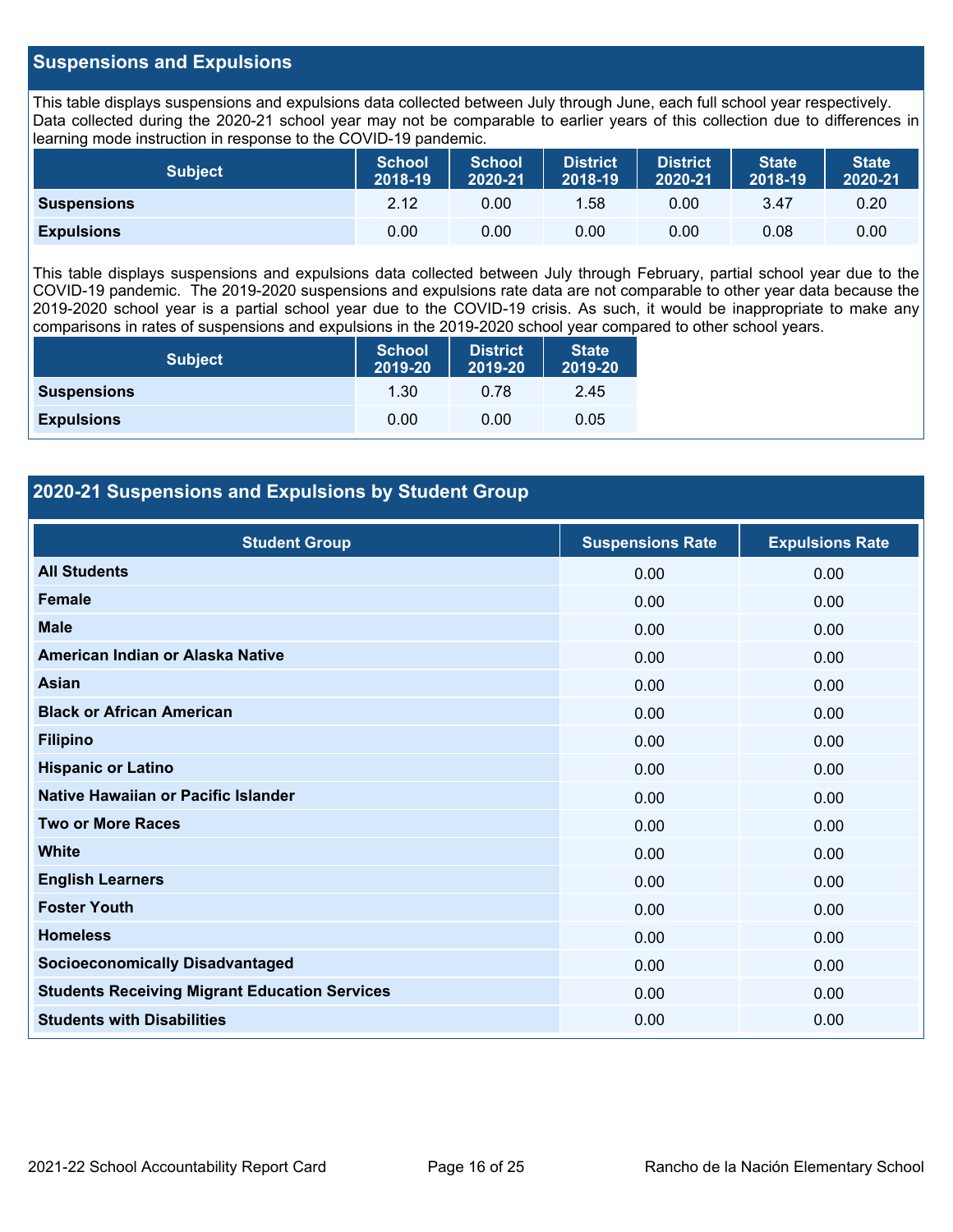#### **Suspensions and Expulsions**

This table displays suspensions and expulsions data collected between July through June, each full school year respectively. This table displays suspensions and expulsions data collected between July through June, each full school year respectively.<br>Data collected during the 2020-21 school year may not be comparable to earlier years of this coll learning mode instruction in response to the COVID-19 pandemic.

| <b>Subject</b>     | <b>School</b><br>2018-19 | <b>School</b><br>2020-21 | <b>District</b><br>2018-19 | <b>District</b><br>2020-21 | <b>State</b><br>2018-19 | <b>State</b><br>2020-21 |
|--------------------|--------------------------|--------------------------|----------------------------|----------------------------|-------------------------|-------------------------|
| <b>Suspensions</b> | 2.12                     | 0.00                     | 1.58                       | 0.00                       | 3.47                    | 0.20                    |
| <b>Expulsions</b>  | 0.00                     | 0.00                     | 0.00                       | 0.00                       | 0.08                    | 0.00                    |

 2019-2020 school year is a partial school year due to the COVID-19 crisis. As such, it would be inappropriate to make any This table displays suspensions and expulsions data collected between July through February, partial school year due to the COVID-19 pandemic. The 2019-2020 suspensions and expulsions rate data are not comparable to other year data because the comparisons in rates of suspensions and expulsions in the 2019-2020 school year compared to other school years.

| <b>Subject</b>     | <b>School</b><br>2019-20 | <b>District</b><br>2019-20 | <b>State</b><br>2019-20 |
|--------------------|--------------------------|----------------------------|-------------------------|
| <b>Suspensions</b> | 1.30                     | 0.78                       | 2.45                    |
| <b>Expulsions</b>  | 0.00                     | 0.00                       | 0.05                    |

#### **2020-21 Suspensions and Expulsions by Student Group**

| <b>Student Group</b>                                 | <b>Suspensions Rate</b> | <b>Expulsions Rate</b> |
|------------------------------------------------------|-------------------------|------------------------|
| <b>All Students</b>                                  | 0.00                    | 0.00                   |
| <b>Female</b>                                        | 0.00                    | 0.00                   |
| <b>Male</b>                                          | 0.00                    | 0.00                   |
| American Indian or Alaska Native                     | 0.00                    | 0.00                   |
| Asian                                                | 0.00                    | 0.00                   |
| <b>Black or African American</b>                     | 0.00                    | 0.00                   |
| <b>Filipino</b>                                      | 0.00                    | 0.00                   |
| <b>Hispanic or Latino</b>                            | 0.00                    | 0.00                   |
| Native Hawaiian or Pacific Islander                  | 0.00                    | 0.00                   |
| <b>Two or More Races</b>                             | 0.00                    | 0.00                   |
| <b>White</b>                                         | 0.00                    | 0.00                   |
| <b>English Learners</b>                              | 0.00                    | 0.00                   |
| <b>Foster Youth</b>                                  | 0.00                    | 0.00                   |
| <b>Homeless</b>                                      | 0.00                    | 0.00                   |
| <b>Socioeconomically Disadvantaged</b>               | 0.00                    | 0.00                   |
| <b>Students Receiving Migrant Education Services</b> | 0.00                    | 0.00                   |
| <b>Students with Disabilities</b>                    | 0.00                    | 0.00                   |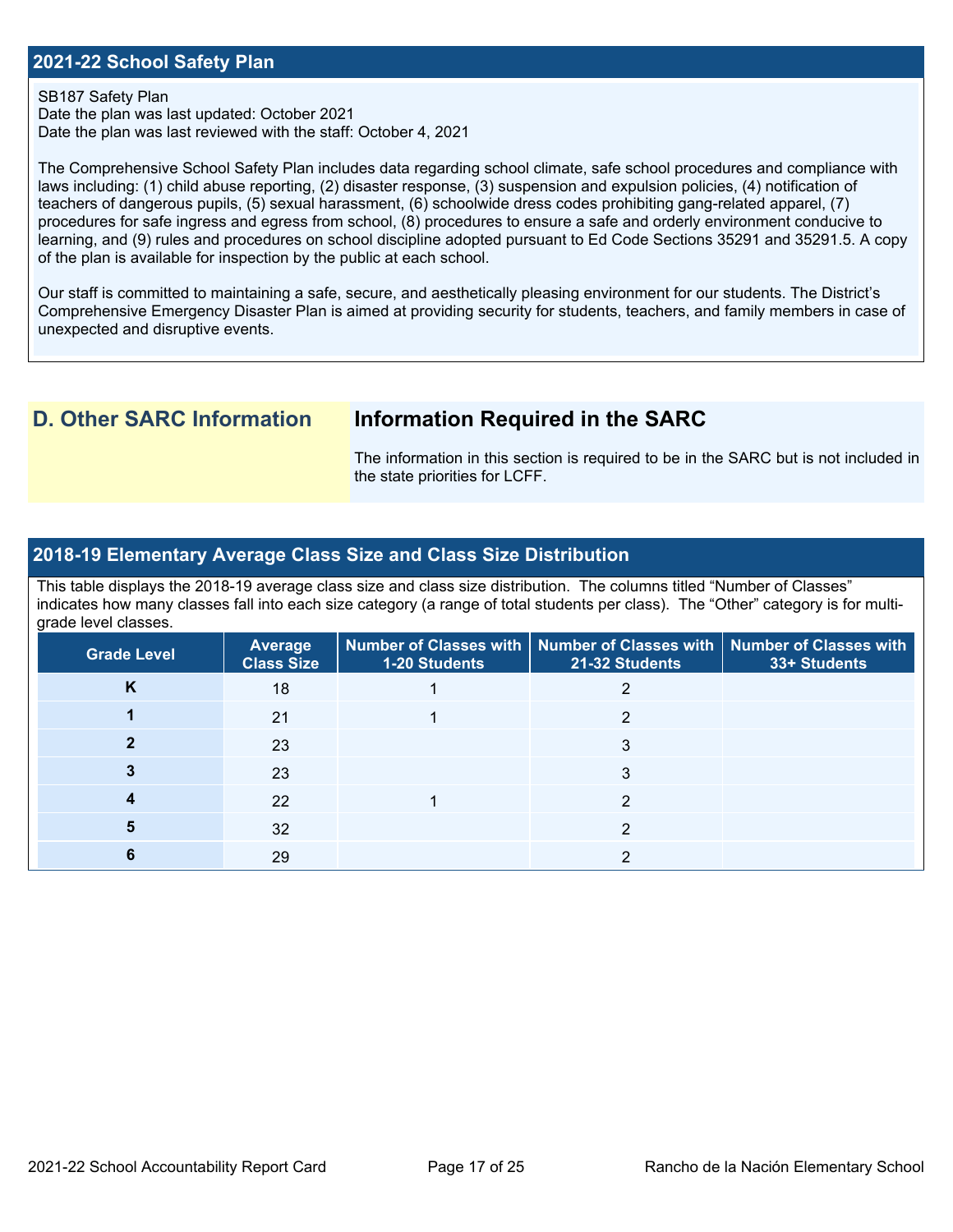#### **2021-22 School Safety Plan**

#### SB187 Safety Plan

 Date the plan was last reviewed with the staff: October 4, 2021 Date the plan was last updated: October 2021

 The Comprehensive School Safety Plan includes data regarding school climate, safe school procedures and compliance with laws including: (1) child abuse reporting, (2) disaster response, (3) suspension and expulsion policies, (4) notification of procedures for safe ingress and egress from school, (8) procedures to ensure a safe and orderly environment conducive to teachers of dangerous pupils, (5) sexual harassment, (6) schoolwide dress codes prohibiting gang-related apparel, (7) learning, and (9) rules and procedures on school discipline adopted pursuant to Ed Code Sections 35291 and 35291.5. A copy of the plan is available for inspection by the public at each school.

Our staff is committed to maintaining a safe, secure, and aesthetically pleasing environment for our students. The District's Comprehensive Emergency Disaster Plan is aimed at providing security for students, teachers, and family members in case of unexpected and disruptive events.

## **D. Other SARC Information Information Required in the SARC**

 The information in this section is required to be in the SARC but is not included in the state priorities for LCFF.

#### **2018-19 Elementary Average Class Size and Class Size Distribution**

 indicates how many classes fall into each size category (a range of total students per class). The "Other" category is for multi-This table displays the 2018-19 average class size and class size distribution. The columns titled "Number of Classes" grade level classes.

| <b>Grade Level</b> | <b>Average</b><br><b>Class Size</b> | <b>1-20 Students</b> | Number of Classes with   Number of Classes with   Number of Classes with<br>21-32 Students | 33+ Students |
|--------------------|-------------------------------------|----------------------|--------------------------------------------------------------------------------------------|--------------|
| n.                 | 18                                  |                      |                                                                                            |              |
|                    | 21                                  |                      |                                                                                            |              |
|                    | 23                                  |                      | 3                                                                                          |              |
|                    | 23                                  |                      |                                                                                            |              |
|                    | 22                                  |                      |                                                                                            |              |
|                    | 32                                  |                      |                                                                                            |              |
|                    | 29                                  |                      |                                                                                            |              |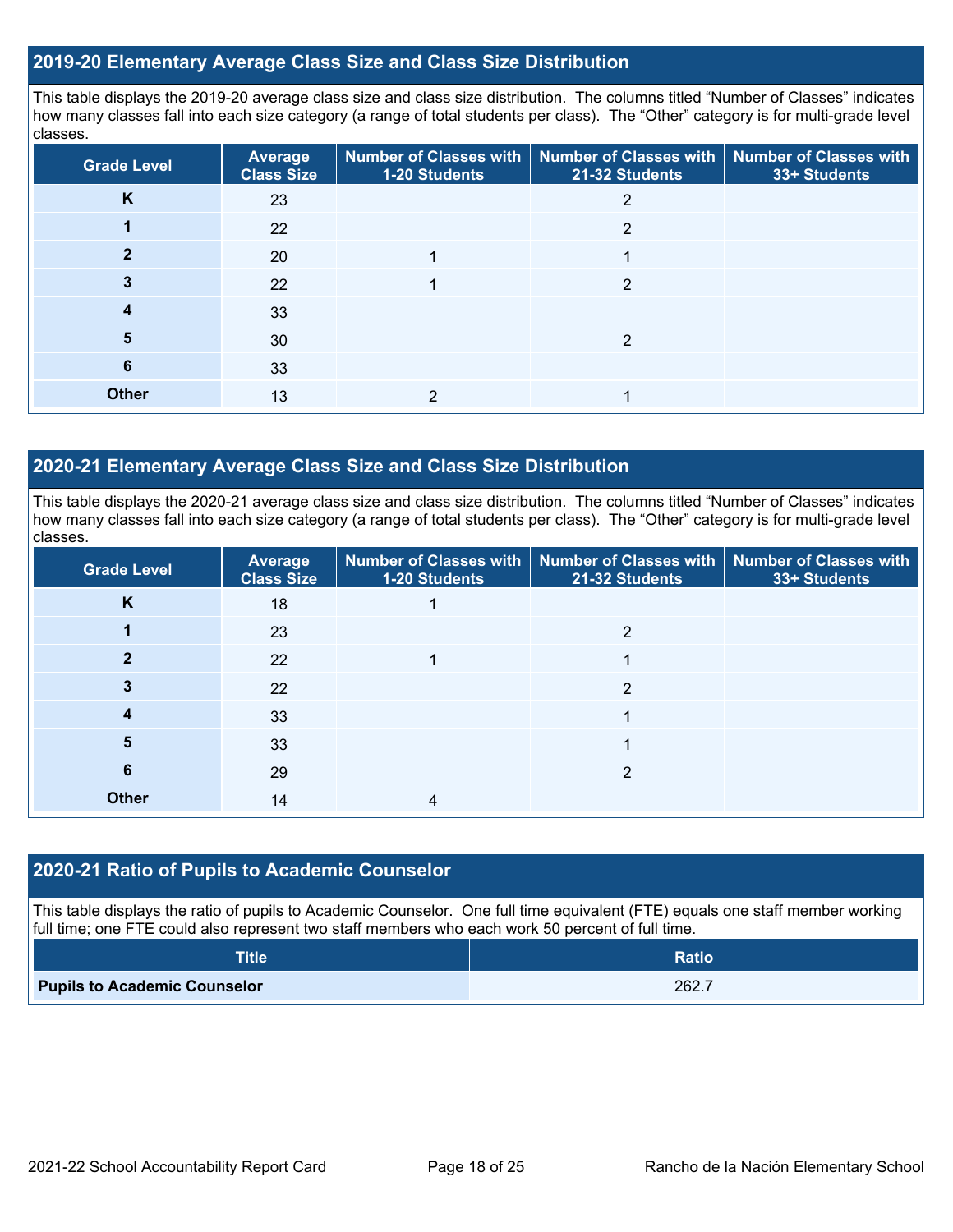#### **2019-20 Elementary Average Class Size and Class Size Distribution**

This table displays the 2019-20 average class size and class size distribution. The columns titled "Number of Classes" indicates how many classes fall into each size category (a range of total students per class). The "Other" category is for multi-grade level classes.

| <b>Grade Level</b> | Average<br><b>Class Size</b> | 1-20 Students | Number of Classes with   Number of Classes with  <br>21-32 Students | <b>Number of Classes with</b><br>33+ Students |
|--------------------|------------------------------|---------------|---------------------------------------------------------------------|-----------------------------------------------|
| K                  | 23                           |               |                                                                     |                                               |
|                    | 22                           |               | 2                                                                   |                                               |
|                    | 20                           |               |                                                                     |                                               |
|                    | 22                           |               | 2                                                                   |                                               |
| 4                  | 33                           |               |                                                                     |                                               |
| 5                  | 30                           |               | າ                                                                   |                                               |
| 6                  | 33                           |               |                                                                     |                                               |
| <b>Other</b>       | 13                           |               |                                                                     |                                               |

#### **2020-21 Elementary Average Class Size and Class Size Distribution**

This table displays the 2020-21 average class size and class size distribution. The columns titled "Number of Classes" indicates how many classes fall into each size category (a range of total students per class). The "Other" category is for multi-grade level classes.

| <b>Grade Level</b> | <b>Average</b><br><b>Class Size</b> | <b>1-20 Students</b> | Number of Classes with   Number of Classes with   Number of Classes with<br>21-32 Students | 33+ Students |
|--------------------|-------------------------------------|----------------------|--------------------------------------------------------------------------------------------|--------------|
| K                  | 18                                  |                      |                                                                                            |              |
|                    | 23                                  |                      | 2                                                                                          |              |
| כי                 | 22                                  |                      |                                                                                            |              |
|                    | 22                                  |                      | ◠                                                                                          |              |
|                    | 33                                  |                      |                                                                                            |              |
| 5                  | 33                                  |                      |                                                                                            |              |
| 6                  | 29                                  |                      | っ                                                                                          |              |
| <b>Other</b>       | 14                                  |                      |                                                                                            |              |

#### **2020-21 Ratio of Pupils to Academic Counselor**

This table displays the ratio of pupils to Academic Counselor. One full time equivalent (FTE) equals one staff member working full time; one FTE could also represent two staff members who each work 50 percent of full time.

| <b>Title</b>                        | <b>Ratio</b> |
|-------------------------------------|--------------|
| <b>Pupils to Academic Counselor</b> | 262.7        |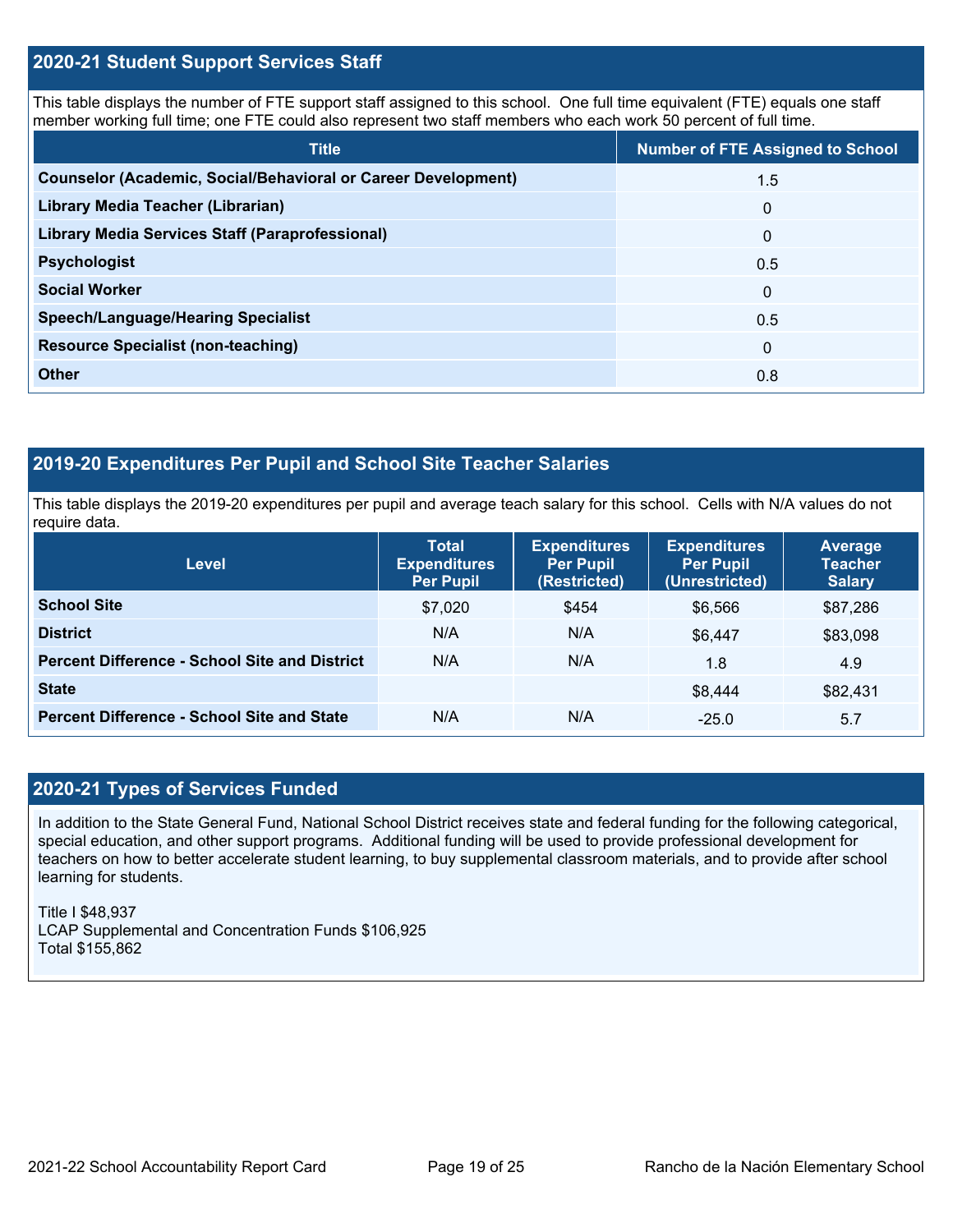#### **2020-21 Student Support Services Staff**

This table displays the number of FTE support staff assigned to this school. One full time equivalent (FTE) equals one staff member working full time; one FTE could also represent two staff members who each work 50 percent of full time.

| <b>Title</b>                                                         | <b>Number of FTE Assigned to School</b> |
|----------------------------------------------------------------------|-----------------------------------------|
| <b>Counselor (Academic, Social/Behavioral or Career Development)</b> | 1.5                                     |
| Library Media Teacher (Librarian)                                    | $\mathbf 0$                             |
| <b>Library Media Services Staff (Paraprofessional)</b>               | $\mathbf 0$                             |
| <b>Psychologist</b>                                                  | 0.5                                     |
| <b>Social Worker</b>                                                 | $\Omega$                                |
| <b>Speech/Language/Hearing Specialist</b>                            | 0.5                                     |
| <b>Resource Specialist (non-teaching)</b>                            | $\mathbf{0}$                            |
| <b>Other</b>                                                         | 0.8                                     |

## **2019-20 Expenditures Per Pupil and School Site Teacher Salaries**

 This table displays the 2019-20 expenditures per pupil and average teach salary for this school. Cells with N/A values do not require data.

| <b>Level</b>                                         | <b>Total</b><br><b>Expenditures</b><br><b>Per Pupil</b> | <b>Expenditures</b><br><b>Per Pupil</b><br>(Restricted) | <b>Expenditures</b><br><b>Per Pupil</b><br>(Unrestricted) | Average<br><b>Teacher</b><br><b>Salary</b> |
|------------------------------------------------------|---------------------------------------------------------|---------------------------------------------------------|-----------------------------------------------------------|--------------------------------------------|
| <b>School Site</b>                                   | \$7,020                                                 | \$454                                                   | \$6,566                                                   | \$87,286                                   |
| <b>District</b>                                      | N/A                                                     | N/A                                                     | \$6.447                                                   | \$83,098                                   |
| <b>Percent Difference - School Site and District</b> | N/A                                                     | N/A                                                     | 1.8                                                       | 4.9                                        |
| <b>State</b>                                         |                                                         |                                                         | \$8.444                                                   | \$82,431                                   |
| <b>Percent Difference - School Site and State</b>    | N/A                                                     | N/A                                                     | $-25.0$                                                   | 5.7                                        |

### **2020-21 Types of Services Funded**

 teachers on how to better accelerate student learning, to buy supplemental classroom materials, and to provide after school In addition to the State General Fund, National School District receives state and federal funding for the following categorical, special education, and other support programs. Additional funding will be used to provide professional development for learning for students.

Title I \$48,937 LCAP Supplemental and Concentration Funds \$106,925 Total \$155,862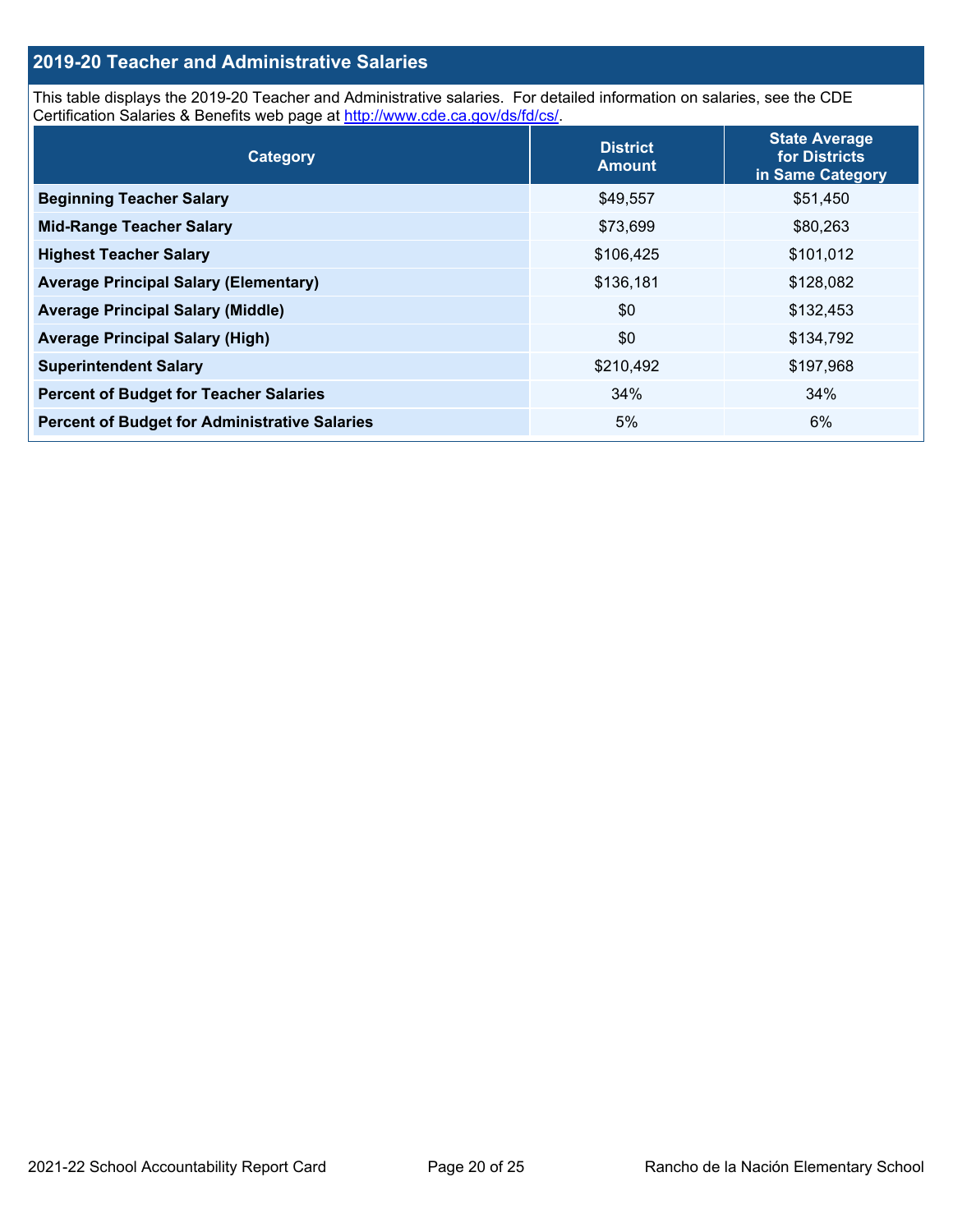### **2019-20 Teacher and Administrative Salaries**

This table displays the 2019-20 Teacher and Administrative salaries. For detailed information on salaries, see the CDE Certification Salaries & Benefits web page at<http://www.cde.ca.gov/ds/fd/cs/>.

| Category                                             | <b>District</b><br><b>Amount</b> | <b>State Average</b><br>for Districts<br>in Same Category |
|------------------------------------------------------|----------------------------------|-----------------------------------------------------------|
| <b>Beginning Teacher Salary</b>                      | \$49,557                         | \$51,450                                                  |
| <b>Mid-Range Teacher Salary</b>                      | \$73,699                         | \$80,263                                                  |
| <b>Highest Teacher Salary</b>                        | \$106,425                        | \$101,012                                                 |
| <b>Average Principal Salary (Elementary)</b>         | \$136,181                        | \$128,082                                                 |
| <b>Average Principal Salary (Middle)</b>             | \$0                              | \$132,453                                                 |
| <b>Average Principal Salary (High)</b>               | \$0                              | \$134,792                                                 |
| <b>Superintendent Salary</b>                         | \$210,492                        | \$197,968                                                 |
| <b>Percent of Budget for Teacher Salaries</b>        | 34%                              | 34%                                                       |
| <b>Percent of Budget for Administrative Salaries</b> | 5%                               | 6%                                                        |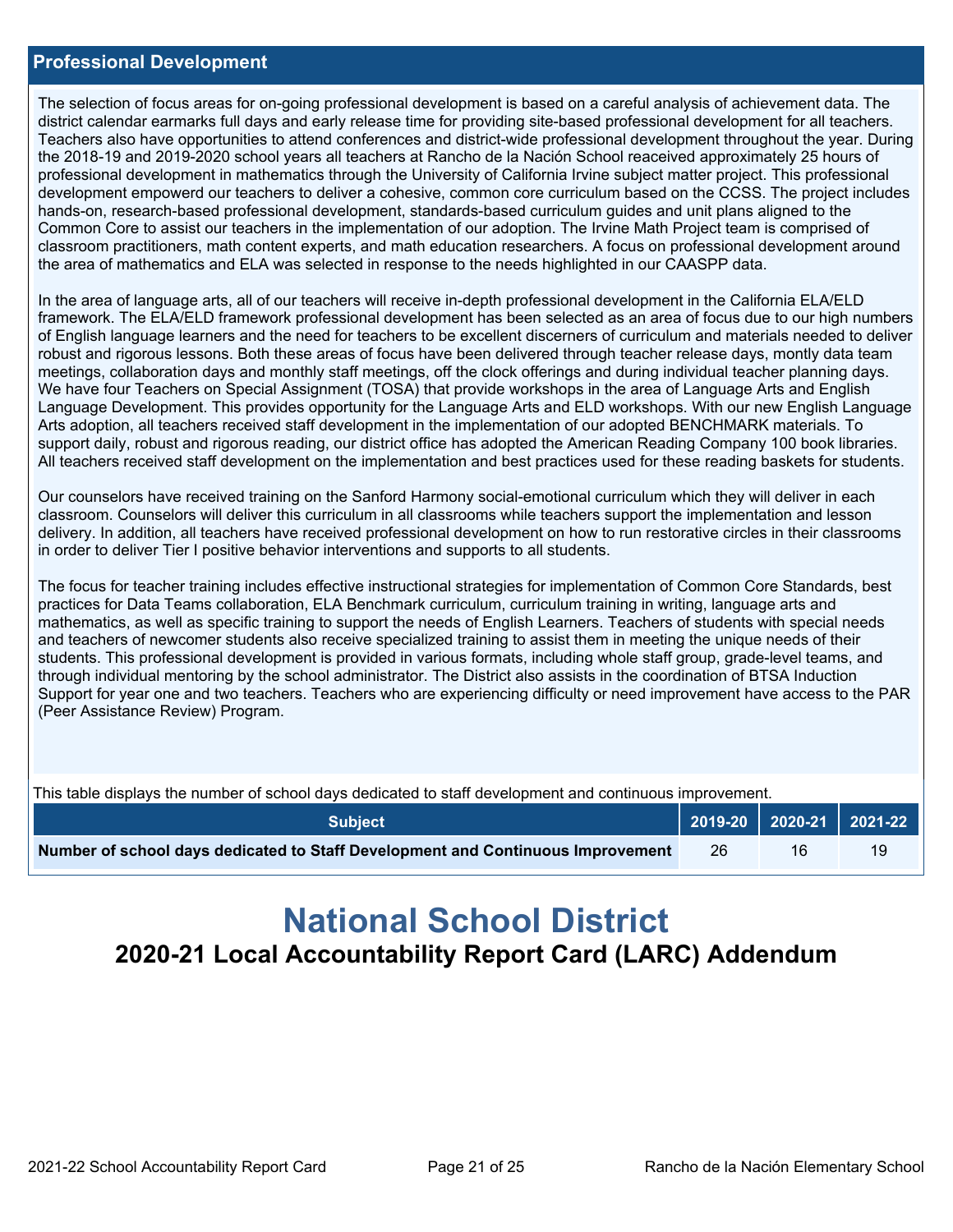#### **Professional Development**

 district calendar earmarks full days and early release time for providing site-based professional development for all teachers. the 2018-19 and 2019-2020 school years all teachers at Rancho de la Nación School reaceived approximately 25 hours of development empowerd our teachers to deliver a cohesive, common core curriculum based on the CCSS. The project includes The selection of focus areas for on-going professional development is based on a careful analysis of achievement data. The Teachers also have opportunities to attend conferences and district-wide professional development throughout the year. During professional development in mathematics through the University of California Irvine subject matter project. This professional hands-on, research-based professional development, standards-based curriculum guides and unit plans aligned to the Common Core to assist our teachers in the implementation of our adoption. The Irvine Math Project team is comprised of classroom practitioners, math content experts, and math education researchers. A focus on professional development around the area of mathematics and ELA was selected in response to the needs highlighted in our CAASPP data.

 of English language learners and the need for teachers to be excellent discerners of curriculum and materials needed to deliver We have four Teachers on Special Assignment (TOSA) that provide workshops in the area of Language Arts and English In the area of language arts, all of our teachers will receive in-depth professional development in the California ELA/ELD framework. The ELA/ELD framework professional development has been selected as an area of focus due to our high numbers robust and rigorous lessons. Both these areas of focus have been delivered through teacher release days, montly data team meetings, collaboration days and monthly staff meetings, off the clock offerings and during individual teacher planning days. Language Development. This provides opportunity for the Language Arts and ELD workshops. With our new English Language Arts adoption, all teachers received staff development in the implementation of our adopted BENCHMARK materials. To support daily, robust and rigorous reading, our district office has adopted the American Reading Company 100 book libraries. All teachers received staff development on the implementation and best practices used for these reading baskets for students.

 delivery. In addition, all teachers have received professional development on how to run restorative circles in their classrooms Our counselors have received training on the Sanford Harmony social-emotional curriculum which they will deliver in each classroom. Counselors will deliver this curriculum in all classrooms while teachers support the implementation and lesson in order to deliver Tier I positive behavior interventions and supports to all students.

The focus for teacher training includes effective instructional strategies for implementation of Common Core Standards, best practices for Data Teams collaboration, ELA Benchmark curriculum, curriculum training in writing, language arts and mathematics, as well as specific training to support the needs of English Learners. Teachers of students with special needs and teachers of newcomer students also receive specialized training to assist them in meeting the unique needs of their students. This professional development is provided in various formats, including whole staff group, grade-level teams, and through individual mentoring by the school administrator. The District also assists in the coordination of BTSA Induction Support for year one and two teachers. Teachers who are experiencing difficulty or need improvement have access to the PAR (Peer Assistance Review) Program.

| This table displays the number of school days dedicated to staff development and continuous improvement. |     |    |    |  |  |  |
|----------------------------------------------------------------------------------------------------------|-----|----|----|--|--|--|
| <b>Subject</b>                                                                                           |     |    |    |  |  |  |
| Number of school days dedicated to Staff Development and Continuous Improvement                          | -26 | 16 | 19 |  |  |  |

# **National School District 2020-21 Local Accountability Report Card (LARC) Addendum**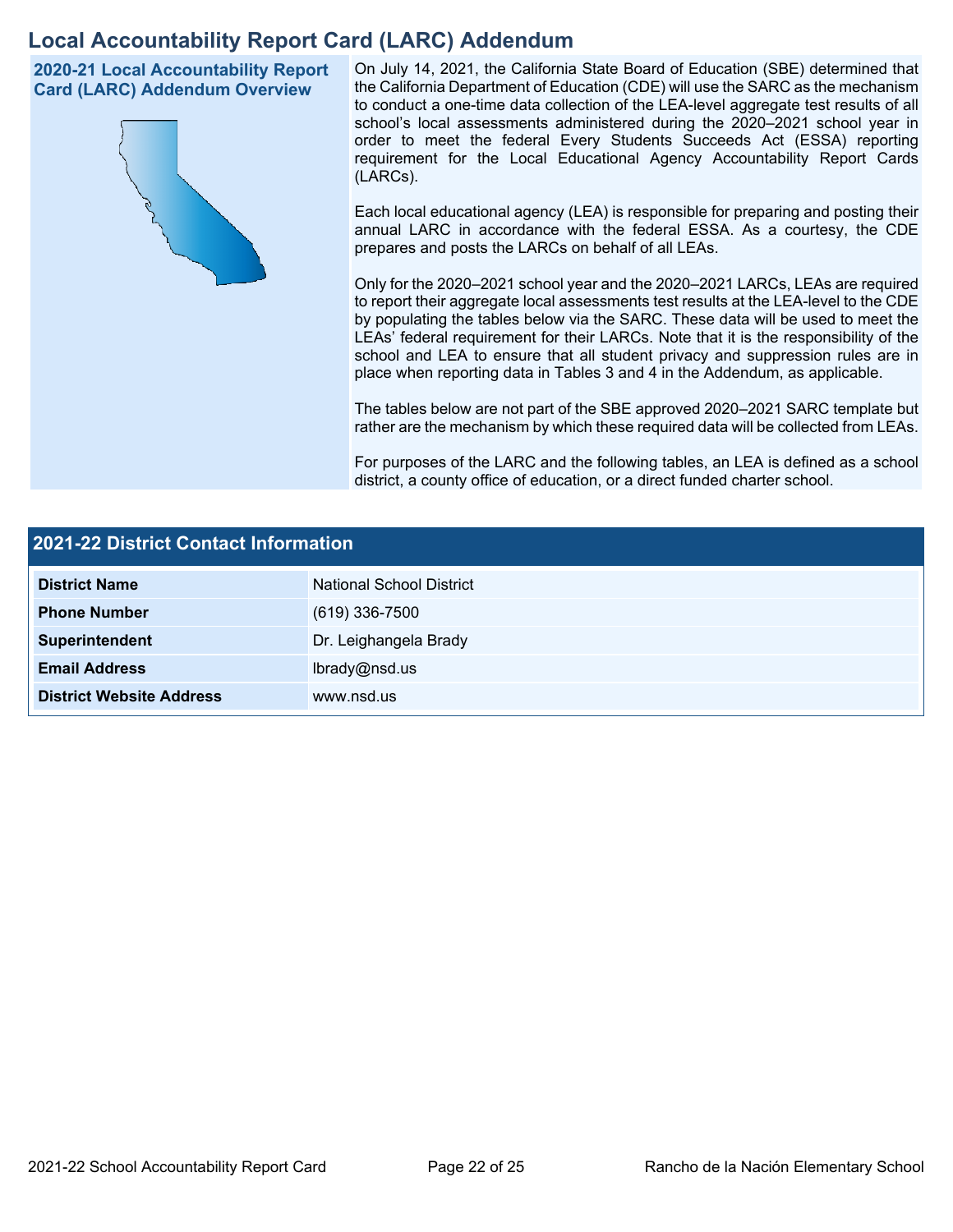## **Local Accountability Report Card (LARC) Addendum**

**2020-21 Local Accountability Report Card (LARC) Addendum Overview** 



 On July 14, 2021, the California State Board of Education (SBE) determined that the California Department of Education (CDE) will use the SARC as the mechanism to conduct a one-time data collection of the LEA-level aggregate test results of all school's local assessments administered during the 2020–2021 school year in order to meet the federal Every Students Succeeds Act (ESSA) reporting requirement for the Local Educational Agency Accountability Report Cards (LARCs).

Each local educational agency (LEA) is responsible for preparing and posting their annual LARC in accordance with the federal ESSA. As a courtesy, the CDE prepares and posts the LARCs on behalf of all LEAs.

 to report their aggregate local assessments test results at the LEA-level to the CDE by populating the tables below via the SARC. These data will be used to meet the Only for the 2020–2021 school year and the 2020–2021 LARCs, LEAs are required LEAs' federal requirement for their LARCs. Note that it is the responsibility of the school and LEA to ensure that all student privacy and suppression rules are in place when reporting data in Tables 3 and 4 in the Addendum, as applicable.

The tables below are not part of the SBE approved 2020–2021 SARC template but rather are the mechanism by which these required data will be collected from LEAs.

For purposes of the LARC and the following tables, an LEA is defined as a school district, a county office of education, or a direct funded charter school.

| 2021-22 District Contact Information |                          |  |  |  |
|--------------------------------------|--------------------------|--|--|--|
| <b>District Name</b>                 | National School District |  |  |  |
| <b>Phone Number</b>                  | $(619)$ 336-7500         |  |  |  |
| Superintendent                       | Dr. Leighangela Brady    |  |  |  |
| <b>Email Address</b>                 | lbrady@nsd.us            |  |  |  |
| <b>District Website Address</b>      | www.nsd.us               |  |  |  |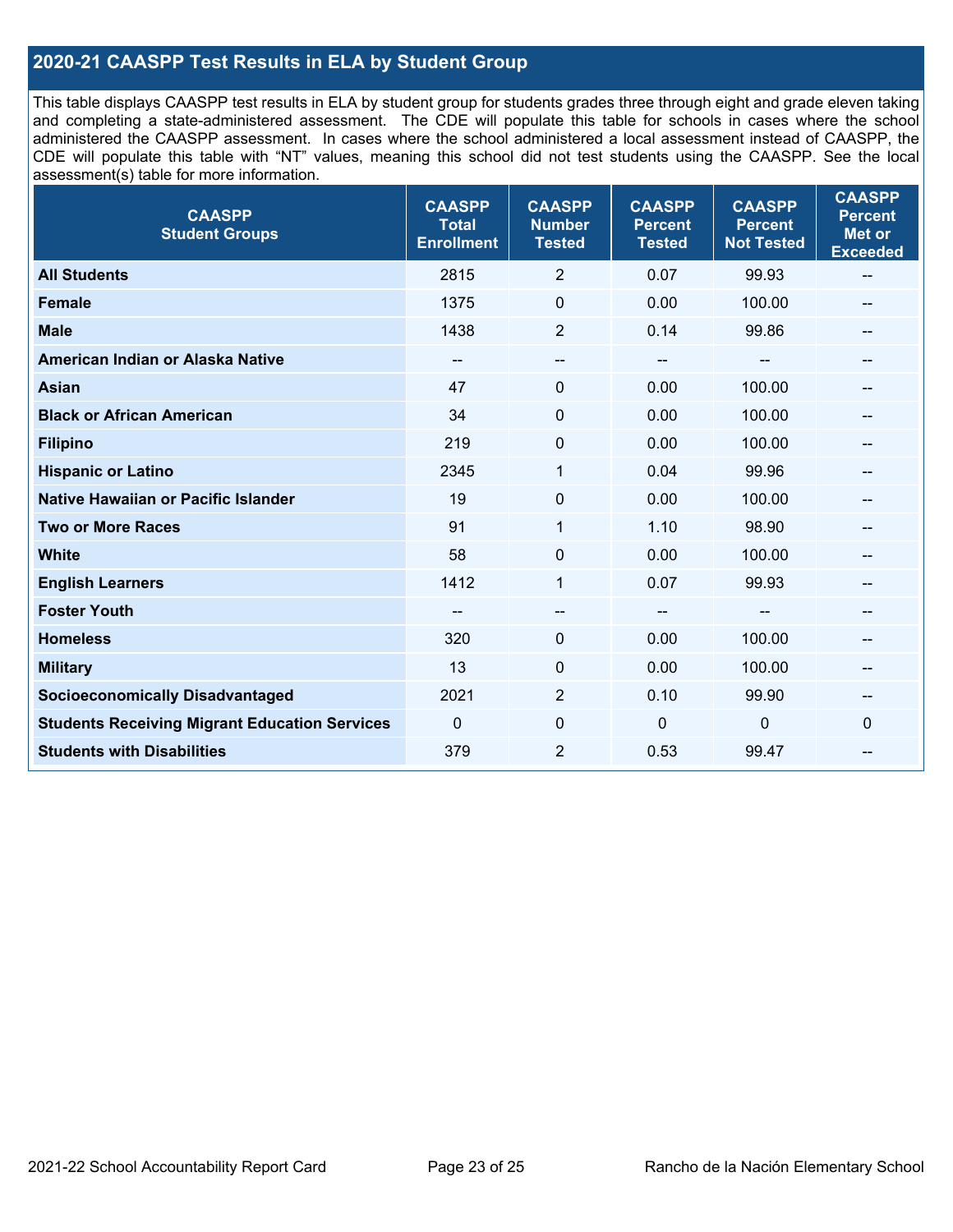### **2020-21 CAASPP Test Results in ELA by Student Group**

 and completing a state-administered assessment. The CDE will populate this table for schools in cases where the school CDE will populate this table with "NT" values, meaning this school did not test students using the CAASPP. See the local This table displays CAASPP test results in ELA by student group for students grades three through eight and grade eleven taking administered the CAASPP assessment. In cases where the school administered a local assessment instead of CAASPP, the assessment(s) table for more information.

| <b>CAASPP</b><br><b>Student Groups</b>               | <b>CAASPP</b><br><b>Total</b><br><b>Enrollment</b> | <b>CAASPP</b><br><b>Number</b><br><b>Tested</b> | <b>CAASPP</b><br><b>Percent</b><br><b>Tested</b> | <b>CAASPP</b><br><b>Percent</b><br><b>Not Tested</b> | <b>CAASPP</b><br><b>Percent</b><br><b>Met or</b><br><b>Exceeded</b> |
|------------------------------------------------------|----------------------------------------------------|-------------------------------------------------|--------------------------------------------------|------------------------------------------------------|---------------------------------------------------------------------|
| <b>All Students</b>                                  | 2815                                               | $\overline{2}$                                  | 0.07                                             | 99.93                                                | $\qquad \qquad -$                                                   |
| <b>Female</b>                                        | 1375                                               | $\mathbf 0$                                     | 0.00                                             | 100.00                                               |                                                                     |
| <b>Male</b>                                          | 1438                                               | $\overline{2}$                                  | 0.14                                             | 99.86                                                | --                                                                  |
| American Indian or Alaska Native                     | $\hspace{0.05cm}$                                  | $-\!$ $\!-$                                     | $\hspace{0.05cm}$ – $\hspace{0.05cm}$            | $\qquad \qquad \qquad -$                             | $\hspace{0.05cm}$                                                   |
| <b>Asian</b>                                         | 47                                                 | 0                                               | 0.00                                             | 100.00                                               |                                                                     |
| <b>Black or African American</b>                     | 34                                                 | $\Omega$                                        | 0.00                                             | 100.00                                               | --                                                                  |
| <b>Filipino</b>                                      | 219                                                | $\mathbf 0$                                     | 0.00                                             | 100.00                                               |                                                                     |
| <b>Hispanic or Latino</b>                            | 2345                                               | $\mathbf{1}$                                    | 0.04                                             | 99.96                                                |                                                                     |
| <b>Native Hawaiian or Pacific Islander</b>           | 19                                                 | 0                                               | 0.00                                             | 100.00                                               |                                                                     |
| <b>Two or More Races</b>                             | 91                                                 | 1                                               | 1.10                                             | 98.90                                                | --                                                                  |
| <b>White</b>                                         | 58                                                 | 0                                               | 0.00                                             | 100.00                                               | --                                                                  |
| <b>English Learners</b>                              | 1412                                               | $\mathbf{1}$                                    | 0.07                                             | 99.93                                                |                                                                     |
| <b>Foster Youth</b>                                  | --                                                 | $\qquad \qquad -$                               | --                                               | --                                                   |                                                                     |
| <b>Homeless</b>                                      | 320                                                | 0                                               | 0.00                                             | 100.00                                               | --                                                                  |
| <b>Military</b>                                      | 13                                                 | 0                                               | 0.00                                             | 100.00                                               | --                                                                  |
| <b>Socioeconomically Disadvantaged</b>               | 2021                                               | $\overline{2}$                                  | 0.10                                             | 99.90                                                | --                                                                  |
| <b>Students Receiving Migrant Education Services</b> | $\mathbf{0}$                                       | $\mathbf 0$                                     | $\mathbf 0$                                      | 0                                                    | $\mathbf 0$                                                         |
| <b>Students with Disabilities</b>                    | 379                                                | $\overline{2}$                                  | 0.53                                             | 99.47                                                |                                                                     |